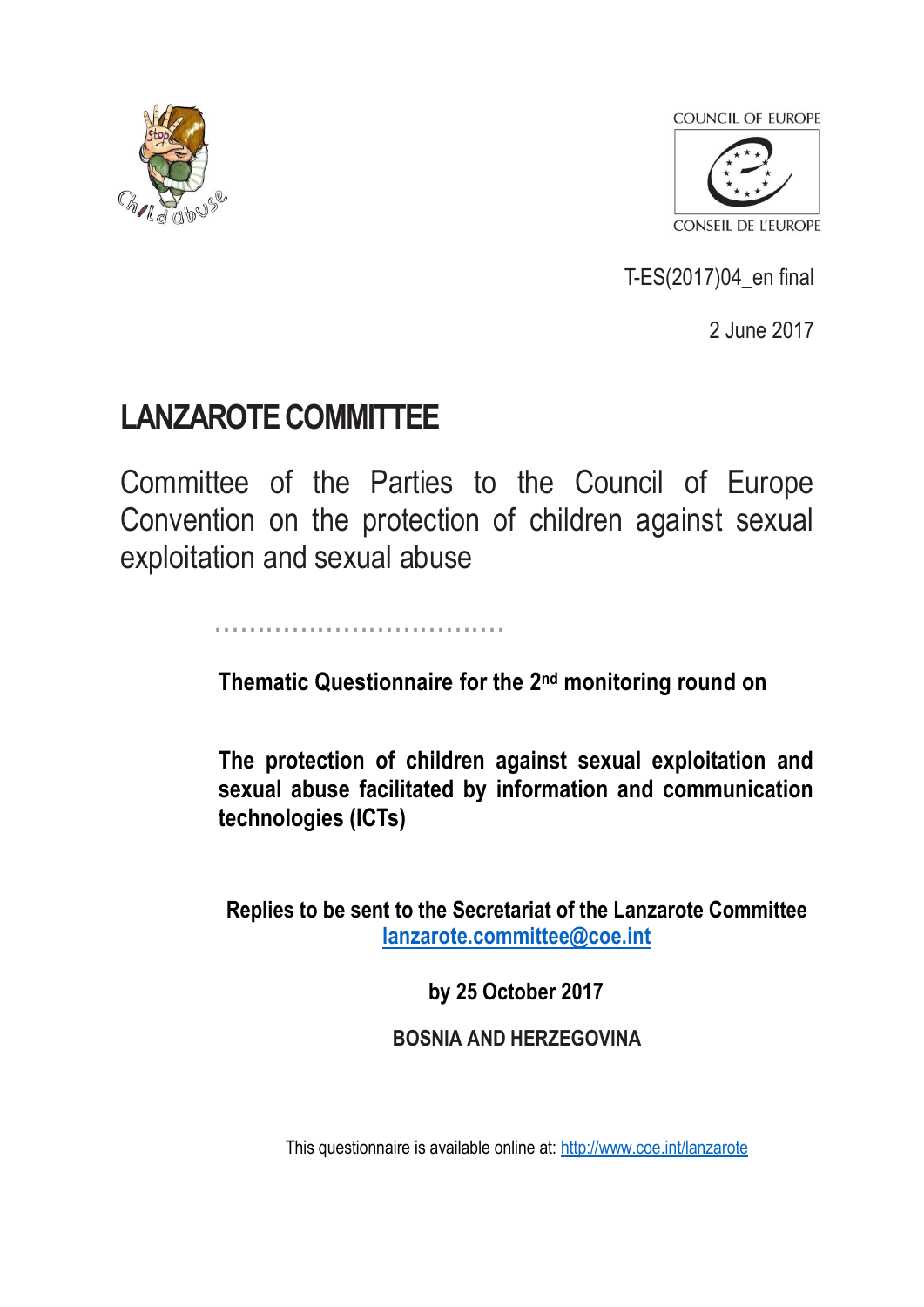



T-ES(2017)04\_en final

2 June 2017

# **LANZAROTE COMMITTEE**

Committee of the Parties to the Council of Europe Convention on the protection of children against sexual exploitation and sexual abuse

..................................

**Thematic Questionnaire for the 2<sup>nd</sup> monitoring round on** 

**The protection of children against sexual exploitation and sexual abuse facilitated by information and communication technologies (ICTs)**

**Replies to be sent to the Secretariat of the Lanzarote Committee [lanzarote.committee@coe.int](mailto:lanzarote.committee@coe.int)**

**by 25 October 2017**

**BOSNIA AND HERZEGOVINA**

This questionnaire is available online at: <http://www.coe.int/lanzarote>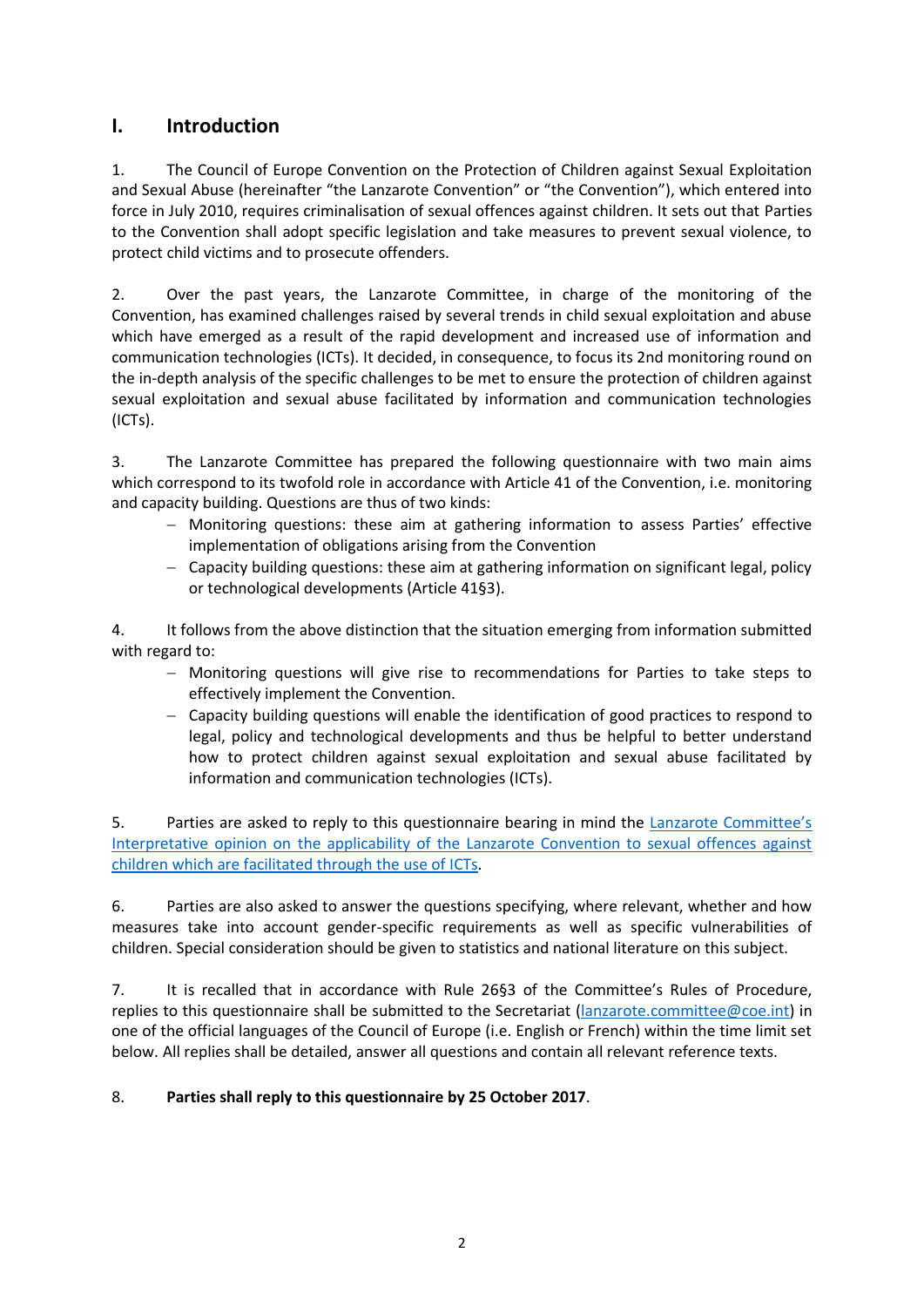# **I. Introduction**

1. The Council of Europe Convention on the Protection of Children against Sexual Exploitation and Sexual Abuse (hereinafter "the Lanzarote Convention" or "the Convention"), which entered into force in July 2010, requires criminalisation of sexual offences against children. It sets out that Parties to the Convention shall adopt specific legislation and take measures to prevent sexual violence, to protect child victims and to prosecute offenders.

2. Over the past years, the Lanzarote Committee, in charge of the monitoring of the Convention, has examined challenges raised by several trends in child sexual exploitation and abuse which have emerged as a result of the rapid development and increased use of information and communication technologies (ICTs). It decided, in consequence, to focus its 2nd monitoring round on the in-depth analysis of the specific challenges to be met to ensure the protection of children against sexual exploitation and sexual abuse facilitated by information and communication technologies (ICTs).

3. The Lanzarote Committee has prepared the following questionnaire with two main aims which correspond to its twofold role in accordance with Article 41 of the Convention, i.e. monitoring and capacity building. Questions are thus of two kinds:

- Monitoring questions: these aim at gathering information to assess Parties' effective implementation of obligations arising from the Convention
- Capacity building questions: these aim at gathering information on significant legal, policy or technological developments (Article 41§3).

4. It follows from the above distinction that the situation emerging from information submitted with regard to:

- Monitoring questions will give rise to recommendations for Parties to take steps to effectively implement the Convention.
- Capacity building questions will enable the identification of good practices to respond to legal, policy and technological developments and thus be helpful to better understand how to protect children against sexual exploitation and sexual abuse facilitated by information and communication technologies (ICTs).

5. Parties are asked to reply to this questionnaire bearing in mind the Lanzarote Committee's Interpretative opinion on [the applicability of the Lanzarote Convention to sexual offences against](https://rm.coe.int/t-es-2017-03-en-final-interpretative-opinion/168071cb4f)  [children which are facilitated through the use of ICTs.](https://rm.coe.int/t-es-2017-03-en-final-interpretative-opinion/168071cb4f)

6. Parties are also asked to answer the questions specifying, where relevant, whether and how measures take into account gender-specific requirements as well as specific vulnerabilities of children. Special consideration should be given to statistics and national literature on this subject.

7. It is recalled that in accordance with Rule 26§3 of the Committee's Rules of Procedure, replies to this questionnaire shall be submitted to the Secretariat [\(lanzarote.committee@coe.int\)](mailto:lanzarote.committee@coe.int) in one of the official languages of the Council of Europe (i.e. English or French) within the time limit set below. All replies shall be detailed, answer all questions and contain all relevant reference texts.

## 8. **Parties shall reply to this questionnaire by 25 October 2017**.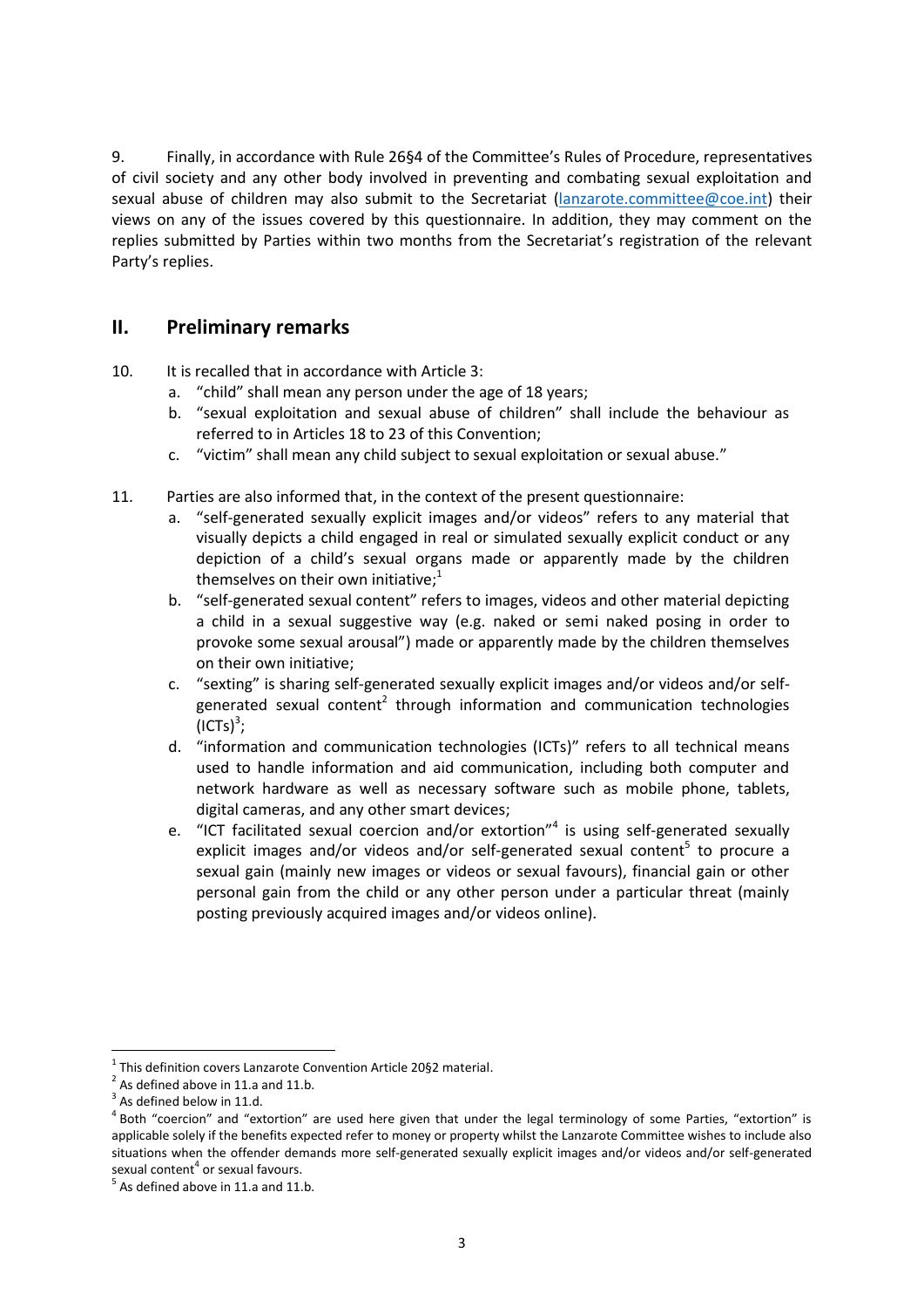9. Finally, in accordance with Rule 26§4 of the Committee's Rules of Procedure, representatives of civil society and any other body involved in preventing and combating sexual exploitation and sexual abuse of children may also submit to the Secretariat [\(lanzarote.committee@coe.int\)](mailto:lanzarote.committee@coe.int) their views on any of the issues covered by this questionnaire. In addition, they may comment on the replies submitted by Parties within two months from the Secretariat's registration of the relevant Party's replies.

# **II. Preliminary remarks**

- 10. It is recalled that in accordance with Article 3:
	- a. "child" shall mean any person under the age of 18 years;
	- b. "sexual exploitation and sexual abuse of children" shall include the behaviour as referred to in Articles 18 to 23 of this Convention;
	- c. "victim" shall mean any child subject to sexual exploitation or sexual abuse."
- 11. Parties are also informed that, in the context of the present questionnaire:
	- a. "self-generated sexually explicit images and/or videos" refers to any material that visually depicts a child engaged in real or simulated sexually explicit conduct or any depiction of a child's sexual organs made or apparently made by the children themselves on their own initiative;<sup>1</sup>
	- b. "self-generated sexual content" refers to images, videos and other material depicting a child in a sexual suggestive way (e.g. naked or semi naked posing in order to provoke some sexual arousal") made or apparently made by the children themselves on their own initiative;
	- c. "sexting" is sharing self-generated sexually explicit images and/or videos and/or selfgenerated sexual content<sup>2</sup> through information and communication technologies  $\text{(ICTs)}^3;$
	- d. "information and communication technologies (ICTs)" refers to all technical means used to handle information and aid communication, including both computer and network hardware as well as necessary software such as mobile phone, tablets, digital cameras, and any other smart devices;
	- e. "ICT facilitated sexual coercion and/or extortion"<sup>4</sup> is using self-generated sexually explicit images and/or videos and/or self-generated sexual content<sup>5</sup> to procure a sexual gain (mainly new images or videos or sexual favours), financial gain or other personal gain from the child or any other person under a particular threat (mainly posting previously acquired images and/or videos online).

**.** 

 $1$  This definition covers Lanzarote Convention Article 20§2 material.

 $2^{2}$  As defined above in 11.a and 11.b.

 $3$  As defined below in 11.d.

<sup>&</sup>lt;sup>4</sup> Both "coercion" and "extortion" are used here given that under the legal terminology of some Parties, "extortion" is applicable solely if the benefits expected refer to money or property whilst the Lanzarote Committee wishes to include also situations when the offender demands more self-generated sexually explicit images and/or videos and/or self-generated sexual content<sup>4</sup> or sexual favours.

 $<sup>5</sup>$  As defined above in 11.a and 11.b.</sup>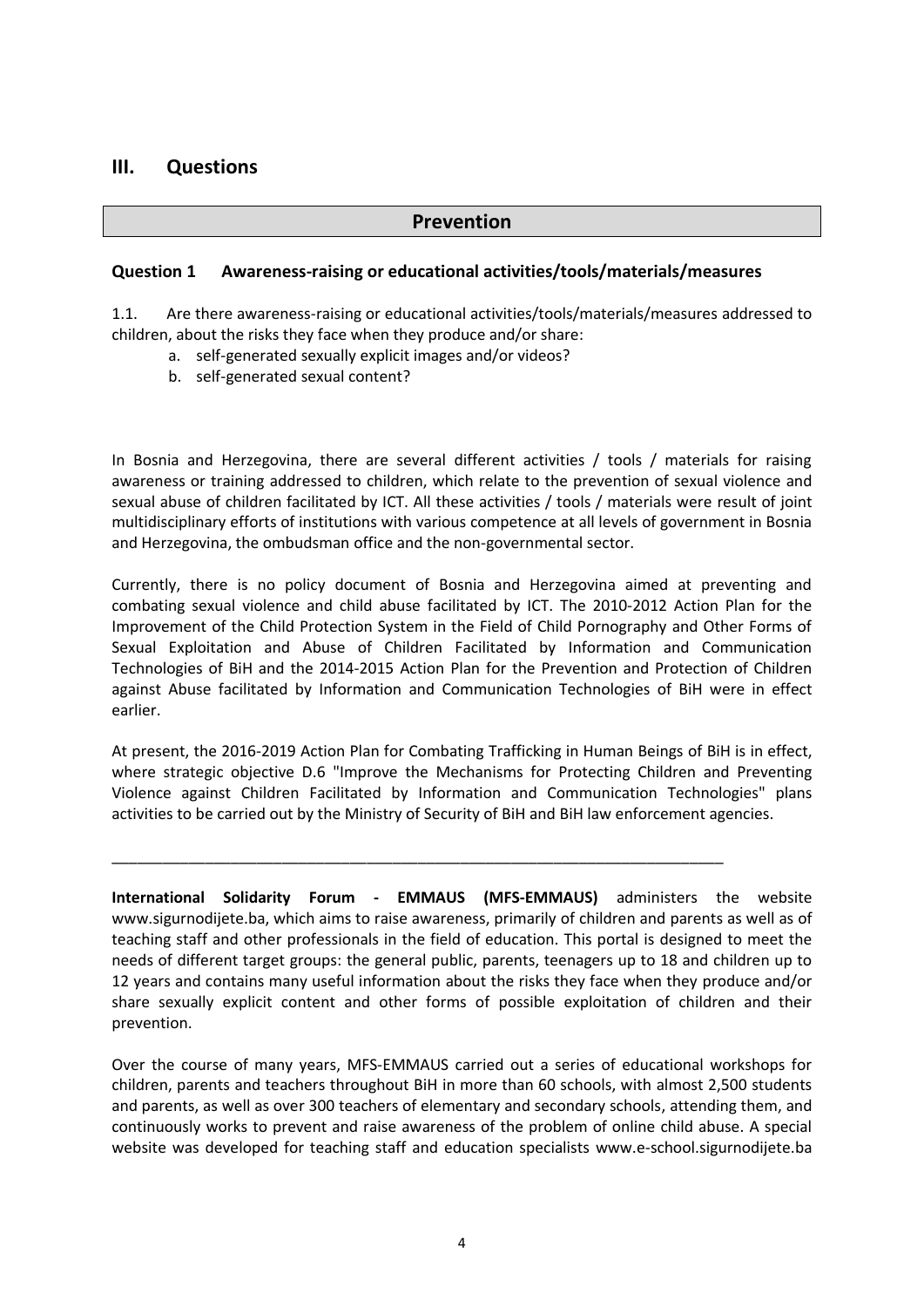# **III. Questions**

#### **Prevention**

#### **Question 1 Awareness-raising or educational activities/tools/materials/measures**

1.1. Are there awareness-raising or educational activities/tools/materials/measures addressed to children, about the risks they face when they produce and/or share:

- a. self-generated sexually explicit images and/or videos?
- b. self-generated sexual content?

In Bosnia and Herzegovina, there are several different activities / tools / materials for raising awareness or training addressed to children, which relate to the prevention of sexual violence and sexual abuse of children facilitated by ICT. All these activities / tools / materials were result of joint multidisciplinary efforts of institutions with various competence at all levels of government in Bosnia and Herzegovina, the ombudsman office and the non-governmental sector.

Currently, there is no policy document of Bosnia and Herzegovina aimed at preventing and combating sexual violence and child abuse facilitated by ICT. The 2010-2012 Action Plan for the Improvement of the Child Protection System in the Field of Child Pornography and Other Forms of Sexual Exploitation and Abuse of Children Facilitated by Information and Communication Technologies of BiH and the 2014-2015 Action Plan for the Prevention and Protection of Children against Abuse facilitated by Information and Communication Technologies of BiH were in effect earlier.

At present, the 2016-2019 Action Plan for Combating Trafficking in Human Beings of BiH is in effect, where strategic objective D.6 "Improve the Mechanisms for Protecting Children and Preventing Violence against Children Facilitated by Information and Communication Technologies" plans activities to be carried out by the Ministry of Security of BiH and BiH law enforcement agencies.

\_\_\_\_\_\_\_\_\_\_\_\_\_\_\_\_\_\_\_\_\_\_\_\_\_\_\_\_\_\_\_\_\_\_\_\_\_\_\_\_\_\_\_\_\_\_\_\_\_\_\_\_\_\_\_\_\_\_\_\_\_\_\_\_\_\_\_\_\_\_\_\_

**International Solidarity Forum - EMMAUS (MFS-EMMAUS)** administers the website www.sigurnodijete.ba, which aims to raise awareness, primarily of children and parents as well as of teaching staff and other professionals in the field of education. This portal is designed to meet the needs of different target groups: the general public, parents, teenagers up to 18 and children up to 12 years and contains many useful information about the risks they face when they produce and/or share sexually explicit content and other forms of possible exploitation of children and their prevention.

Over the course of many years, MFS-EMMAUS carried out a series of educational workshops for children, parents and teachers throughout BiH in more than 60 schools, with almost 2,500 students and parents, as well as over 300 teachers of elementary and secondary schools, attending them, and continuously works to prevent and raise awareness of the problem of online child abuse. A special website was developed for teaching staff and education specialists www.e-school.sigurnodijete.ba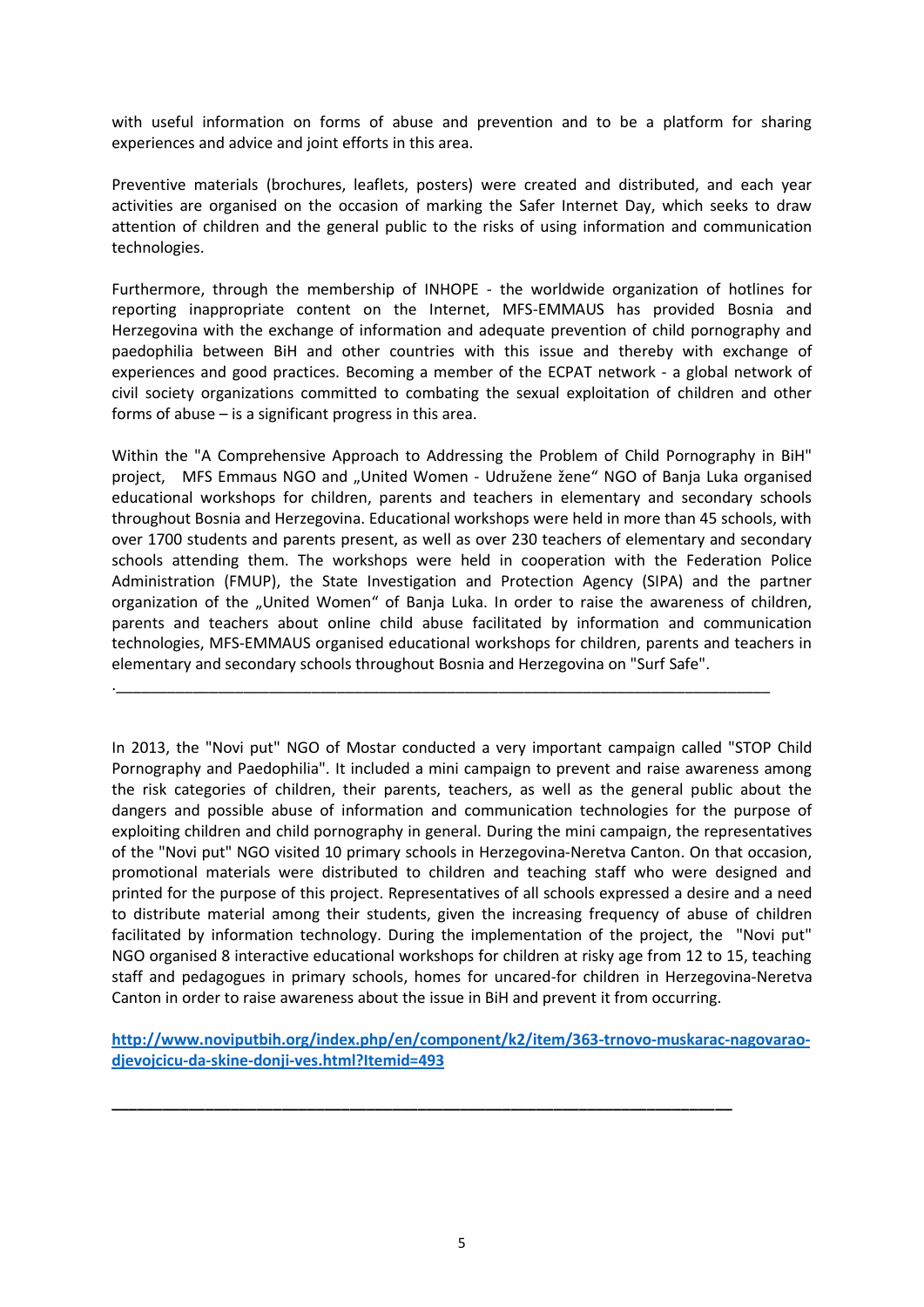with useful information on forms of abuse and prevention and to be a platform for sharing experiences and advice and joint efforts in this area.

Preventive materials (brochures, leaflets, posters) were created and distributed, and each year activities are organised on the occasion of marking the Safer Internet Day, which seeks to draw attention of children and the general public to the risks of using information and communication technologies.

Furthermore, through the membership of INHOPE - the worldwide organization of hotlines for reporting inappropriate content on the Internet, MFS-EMMAUS has provided Bosnia and Herzegovina with the exchange of information and adequate prevention of child pornography and paedophilia between BiH and other countries with this issue and thereby with exchange of experiences and good practices. Becoming a member of the ECPAT network - a global network of civil society organizations committed to combating the sexual exploitation of children and other forms of abuse – is a significant progress in this area.

Within the "A Comprehensive Approach to Addressing the Problem of Child Pornography in BiH" project, MFS Emmaus NGO and "United Women - Udružene žene" NGO of Banja Luka organised educational workshops for children, parents and teachers in elementary and secondary schools throughout Bosnia and Herzegovina. Educational workshops were held in more than 45 schools, with over 1700 students and parents present, as well as over 230 teachers of elementary and secondary schools attending them. The workshops were held in cooperation with the Federation Police Administration (FMUP), the State Investigation and Protection Agency (SIPA) and the partner organization of the "United Women" of Banja Luka. In order to raise the awareness of children, parents and teachers about online child abuse facilitated by information and communication technologies, MFS-EMMAUS organised educational workshops for children, parents and teachers in elementary and secondary schools throughout Bosnia and Herzegovina on "Surf Safe".

.\_\_\_\_\_\_\_\_\_\_\_\_\_\_\_\_\_\_\_\_\_\_\_\_\_\_\_\_\_\_\_\_\_\_\_\_\_\_\_\_\_\_\_\_\_\_\_\_\_\_\_\_\_\_\_\_\_\_\_\_\_\_\_\_\_\_\_\_\_\_\_\_\_\_\_\_\_

In 2013, the "Novi put" NGO of Mostar conducted a very important campaign called "STOP Child Pornography and Paedophilia". It included a mini campaign to prevent and raise awareness among the risk categories of children, their parents, teachers, as well as the general public about the dangers and possible abuse of information and communication technologies for the purpose of exploiting children and child pornography in general. During the mini campaign, the representatives of the "Novi put" NGO visited 10 primary schools in Herzegovina-Neretva Canton. On that occasion, promotional materials were distributed to children and teaching staff who were designed and printed for the purpose of this project. Representatives of all schools expressed a desire and a need to distribute material among their students, given the increasing frequency of abuse of children facilitated by information technology. During the implementation of the project, the "Novi put" NGO organised 8 interactive educational workshops for children at risky age from 12 to 15, teaching staff and pedagogues in primary schools, homes for uncared-for children in Herzegovina-Neretva Canton in order to raise awareness about the issue in BiH and prevent it from occurring.

**[http://www.noviputbih.org/index.php/en/component/k2/item/363-trnovo-muskarac-nagovarao](http://www.noviputbih.org/index.php/en/component/k2/item/363-trnovo-muskarac-nagovarao-djevojcicu-da-skine-donji-ves.html?Itemid=493)[djevojcicu-da-skine-donji-ves.html?Itemid=493](http://www.noviputbih.org/index.php/en/component/k2/item/363-trnovo-muskarac-nagovarao-djevojcicu-da-skine-donji-ves.html?Itemid=493)**

**\_\_\_\_\_\_\_\_\_\_\_\_\_\_\_\_\_\_\_\_\_\_\_\_\_\_\_\_\_\_\_\_\_\_\_\_\_\_\_\_\_\_\_\_\_\_\_\_\_\_\_\_\_\_\_\_\_\_\_\_\_\_\_\_\_\_\_\_\_\_\_\_\_**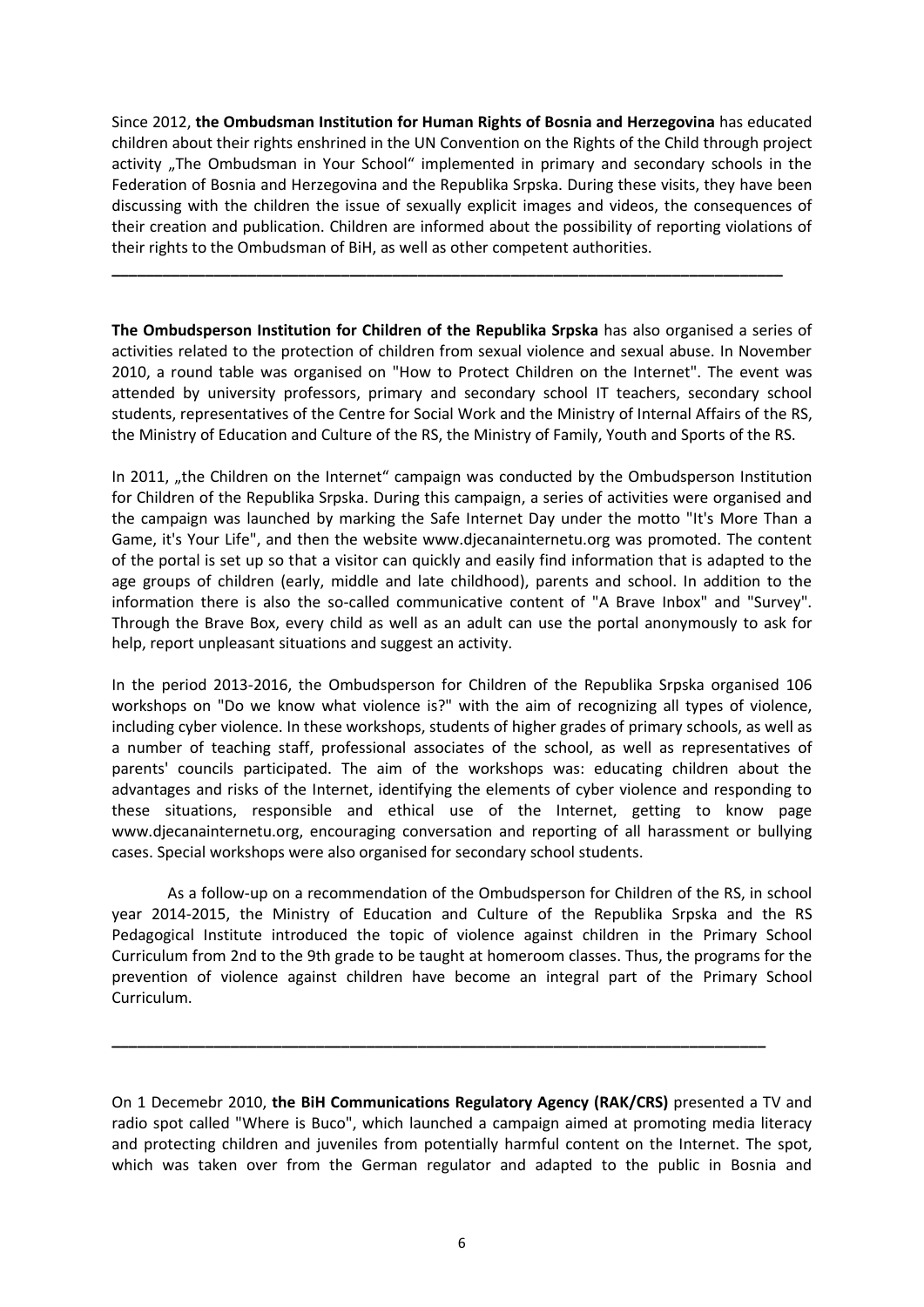Since 2012, **the Ombudsman Institution for Human Rights of Bosnia and Herzegovina** has educated children about their rights enshrined in the UN Convention on the Rights of the Child through project activity "The Ombudsman in Your School" implemented in primary and secondary schools in the Federation of Bosnia and Herzegovina and the Republika Srpska. During these visits, they have been discussing with the children the issue of sexually explicit images and videos, the consequences of their creation and publication. Children are informed about the possibility of reporting violations of their rights to the Ombudsman of BiH, as well as other competent authorities.

**\_\_\_\_\_\_\_\_\_\_\_\_\_\_\_\_\_\_\_\_\_\_\_\_\_\_\_\_\_\_\_\_\_\_\_\_\_\_\_\_\_\_\_\_\_\_\_\_\_\_\_\_\_\_\_\_\_\_\_\_\_\_\_\_\_\_\_\_\_\_\_\_\_\_\_\_\_\_\_**

**The Ombudsperson Institution for Children of the Republika Srpska** has also organised a series of activities related to the protection of children from sexual violence and sexual abuse. In November 2010, a round table was organised on "How to Protect Children on the Internet". The event was attended by university professors, primary and secondary school IT teachers, secondary school students, representatives of the Centre for Social Work and the Ministry of Internal Affairs of the RS, the Ministry of Education and Culture of the RS, the Ministry of Family, Youth and Sports of the RS.

In 2011, "the Children on the Internet" campaign was conducted by the Ombudsperson Institution for Children of the Republika Srpska. During this campaign, a series of activities were organised and the campaign was launched by marking the Safe Internet Day under the motto "It's More Than a Game, it's Your Life", and then the website www.djecanainternetu.org was promoted. The content of the portal is set up so that a visitor can quickly and easily find information that is adapted to the age groups of children (early, middle and late childhood), parents and school. In addition to the information there is also the so-called communicative content of "A Brave Inbox" and "Survey". Through the Brave Box, every child as well as an adult can use the portal anonymously to ask for help, report unpleasant situations and suggest an activity.

In the period 2013-2016, the Ombudsperson for Children of the Republika Srpska organised 106 workshops on "Do we know what violence is?" with the aim of recognizing all types of violence, including cyber violence. In these workshops, students of higher grades of primary schools, as well as a number of teaching staff, professional associates of the school, as well as representatives of parents' councils participated. The aim of the workshops was: educating children about the advantages and risks of the Internet, identifying the elements of cyber violence and responding to these situations, responsible and ethical use of the Internet, getting to know page www.djecanainternetu.org, encouraging conversation and reporting of all harassment or bullying cases. Special workshops were also organised for secondary school students.

As a follow-up on a recommendation of the Ombudsperson for Children of the RS, in school year 2014-2015, the Ministry of Education and Culture of the Republika Srpska and the RS Pedagogical Institute introduced the topic of violence against children in the Primary School Curriculum from 2nd to the 9th grade to be taught at homeroom classes. Thus, the programs for the prevention of violence against children have become an integral part of the Primary School Curriculum.

On 1 Decemebr 2010, **the BiH Communications Regulatory Agency (RAK/CRS)** presented a TV and radio spot called "Where is Buco", which launched a campaign aimed at promoting media literacy and protecting children and juveniles from potentially harmful content on the Internet. The spot, which was taken over from the German regulator and adapted to the public in Bosnia and

**\_\_\_\_\_\_\_\_\_\_\_\_\_\_\_\_\_\_\_\_\_\_\_\_\_\_\_\_\_\_\_\_\_\_\_\_\_\_\_\_\_\_\_\_\_\_\_\_\_\_\_\_\_\_\_\_\_\_\_\_\_\_\_\_\_\_\_\_\_\_\_\_\_\_\_\_\_**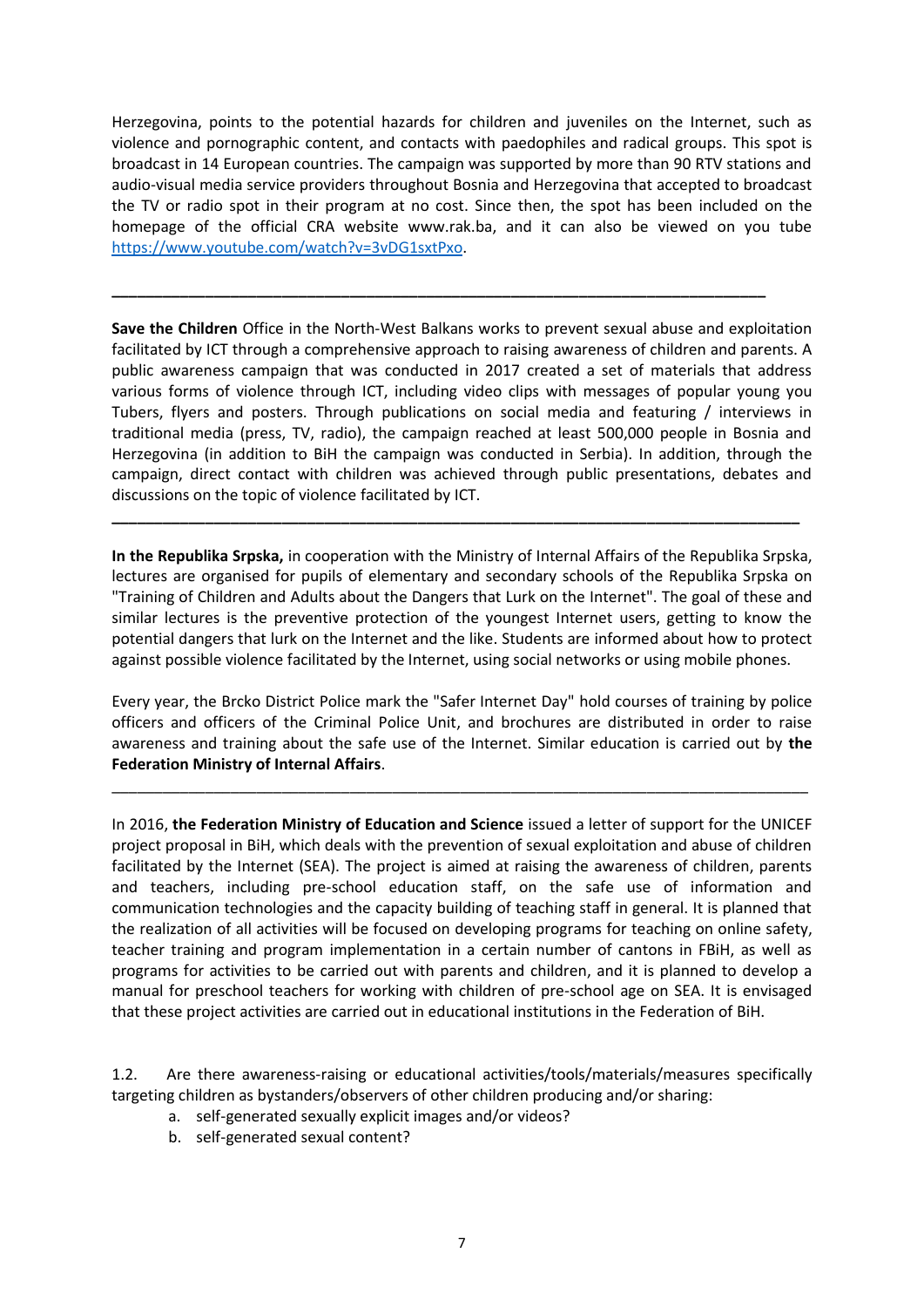Herzegovina, points to the potential hazards for children and juveniles on the Internet, such as violence and pornographic content, and contacts with paedophiles and radical groups. This spot is broadcast in 14 European countries. The campaign was supported by more than 90 RTV stations and audio-visual media service providers throughout Bosnia and Herzegovina that accepted to broadcast the TV or radio spot in their program at no cost. Since then, the spot has been included on the homepage of the official CRA website www.rak.ba, and it can also be viewed on you tube [https://www.youtube.com/watch?v=3vDG1sxtPxo.](https://www.youtube.com/watch?v=3vDG1sxtPxo)

**\_\_\_\_\_\_\_\_\_\_\_\_\_\_\_\_\_\_\_\_\_\_\_\_\_\_\_\_\_\_\_\_\_\_\_\_\_\_\_\_\_\_\_\_\_\_\_\_\_\_\_\_\_\_\_\_\_\_\_\_\_\_\_\_\_\_\_\_\_\_\_\_\_\_\_\_\_**

**Save the Children** Office in the North-West Balkans works to prevent sexual abuse and exploitation facilitated by ICT through a comprehensive approach to raising awareness of children and parents. A public awareness campaign that was conducted in 2017 created a set of materials that address various forms of violence through ICT, including video clips with messages of popular young you Tubers, flyers and posters. Through publications on social media and featuring / interviews in traditional media (press, TV, radio), the campaign reached at least 500,000 people in Bosnia and Herzegovina (in addition to BiH the campaign was conducted in Serbia). In addition, through the campaign, direct contact with children was achieved through public presentations, debates and discussions on the topic of violence facilitated by ICT.

**In the Republika Srpska,** in cooperation with the Ministry of Internal Affairs of the Republika Srpska, lectures are organised for pupils of elementary and secondary schools of the Republika Srpska on "Training of Children and Adults about the Dangers that Lurk on the Internet". The goal of these and similar lectures is the preventive protection of the youngest Internet users, getting to know the potential dangers that lurk on the Internet and the like. Students are informed about how to protect against possible violence facilitated by the Internet, using social networks or using mobile phones.

**\_\_\_\_\_\_\_\_\_\_\_\_\_\_\_\_\_\_\_\_\_\_\_\_\_\_\_\_\_\_\_\_\_\_\_\_\_\_\_\_\_\_\_\_\_\_\_\_\_\_\_\_\_\_\_\_\_\_\_\_\_\_\_\_\_\_\_\_\_\_\_\_\_\_\_\_\_\_\_\_\_**

Every year, the Brcko District Police mark the "Safer Internet Day" hold courses of training by police officers and officers of the Criminal Police Unit, and brochures are distributed in order to raise awareness and training about the safe use of the Internet. Similar education is carried out by **the Federation Ministry of Internal Affairs**.

\_\_\_\_\_\_\_\_\_\_\_\_\_\_\_\_\_\_\_\_\_\_\_\_\_\_\_\_\_\_\_\_\_\_\_\_\_\_\_\_\_\_\_\_\_\_\_\_\_\_\_\_\_\_\_\_\_\_\_\_\_\_\_\_\_\_\_\_\_\_\_\_\_\_\_\_\_\_\_\_\_\_

In 2016, **the Federation Ministry of Education and Science** issued a letter of support for the UNICEF project proposal in BiH, which deals with the prevention of sexual exploitation and abuse of children facilitated by the Internet (SEA). The project is aimed at raising the awareness of children, parents and teachers, including pre-school education staff, on the safe use of information and communication technologies and the capacity building of teaching staff in general. It is planned that the realization of all activities will be focused on developing programs for teaching on online safety, teacher training and program implementation in a certain number of cantons in FBiH, as well as programs for activities to be carried out with parents and children, and it is planned to develop a manual for preschool teachers for working with children of pre-school age on SEA. It is envisaged that these project activities are carried out in educational institutions in the Federation of BiH.

1.2. Are there awareness-raising or educational activities/tools/materials/measures specifically targeting children as bystanders/observers of other children producing and/or sharing:

- a. self-generated sexually explicit images and/or videos?
- b. self-generated sexual content?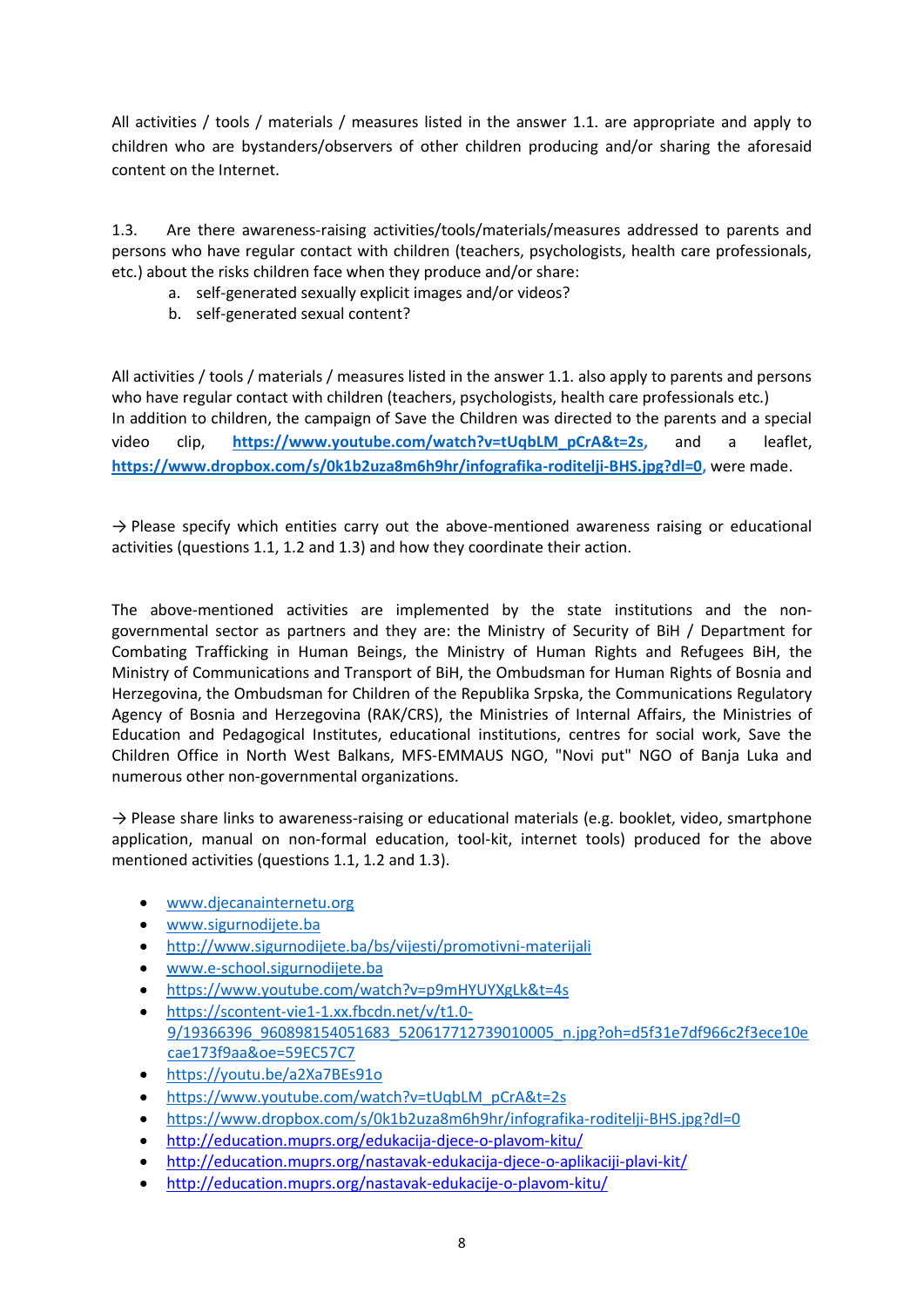All activities / tools / materials / measures listed in the answer 1.1. are appropriate and apply to children who are bystanders/observers of other children producing and/or sharing the aforesaid content on the Internet.

1.3. Are there awareness-raising activities/tools/materials/measures addressed to parents and persons who have regular contact with children (teachers, psychologists, health care professionals, etc.) about the risks children face when they produce and/or share:

- a. self-generated sexually explicit images and/or videos?
- b. self-generated sexual content?

All activities / tools / materials / measures listed in the answer 1.1. also apply to parents and persons who have regular contact with children (teachers, psychologists, health care professionals etc.) In addition to children, the campaign of Save the Children was directed to the parents and a special video clip, **[https://www.youtube.com/watch?v=tUqbLM\\_pCrA&t=2s,](https://www.youtube.com/watch?v=tUqbLM_pCrA&t=2s)** and a leaflet, **[https://www.dropbox.com/s/0k1b2uza8m6h9hr/infografika-roditelji-BHS.jpg?dl=0,](https://www.dropbox.com/s/0k1b2uza8m6h9hr/infografika-roditelji-BHS.jpg?dl=0)** were made.

 $\rightarrow$  Please specify which entities carry out the above-mentioned awareness raising or educational activities (questions 1.1, 1.2 and 1.3) and how they coordinate their action.

The above-mentioned activities are implemented by the state institutions and the nongovernmental sector as partners and they are: the Ministry of Security of BiH / Department for Combating Trafficking in Human Beings, the Ministry of Human Rights and Refugees BiH, the Ministry of Communications and Transport of BiH, the Ombudsman for Human Rights of Bosnia and Herzegovina, the Ombudsman for Children of the Republika Srpska, the Communications Regulatory Agency of Bosnia and Herzegovina (RAK/CRS), the Ministries of Internal Affairs, the Ministries of Education and Pedagogical Institutes, educational institutions, centres for social work, Save the Children Office in North West Balkans, MFS-EMMAUS NGO, "Novi put" NGO of Banja Luka and numerous other non-governmental organizations.

 $\rightarrow$  Please share links to awareness-raising or educational materials (e.g. booklet, video, smartphone application, manual on non-formal education, tool-kit, internet tools) produced for the above mentioned activities (questions 1.1, 1.2 and 1.3).

- [www.djecanainternetu.org](http://www.djecanainternetu.org/)
- [www.sigurnodijete.ba](http://www.sigurnodijete.ba/)
- <http://www.sigurnodijete.ba/bs/vijesti/promotivni-materijali>
- [www.e-school.sigurnodijete.ba](http://www.e-school.sigurnodijete.ba/)
- <https://www.youtube.com/watch?v=p9mHYUYXgLk&t=4s>
- [https://scontent-vie1-1.xx.fbcdn.net/v/t1.0-](https://scontent-vie1-1.xx.fbcdn.net/v/t1.0-9/19366396_960898154051683_520617712739010005_n.jpg?oh=d5f31e7df966c2f3ece10ecae173f9aa&oe=59EC57C7) [9/19366396\\_960898154051683\\_520617712739010005\\_n.jpg?oh=d5f31e7df966c2f3ece10e](https://scontent-vie1-1.xx.fbcdn.net/v/t1.0-9/19366396_960898154051683_520617712739010005_n.jpg?oh=d5f31e7df966c2f3ece10ecae173f9aa&oe=59EC57C7) [cae173f9aa&oe=59EC57C7](https://scontent-vie1-1.xx.fbcdn.net/v/t1.0-9/19366396_960898154051683_520617712739010005_n.jpg?oh=d5f31e7df966c2f3ece10ecae173f9aa&oe=59EC57C7)
- <https://youtu.be/a2Xa7BEs91o>
- [https://www.youtube.com/watch?v=tUqbLM\\_pCrA&t=2s](https://www.youtube.com/watch?v=tUqbLM_pCrA&t=2s)
- <https://www.dropbox.com/s/0k1b2uza8m6h9hr/infografika-roditelji-BHS.jpg?dl=0>
- <http://education.muprs.org/edukacija-djece-o-plavom-kitu/>
- <http://education.muprs.org/nastavak-edukacija-djece-o-aplikaciji-plavi-kit/>
- <http://education.muprs.org/nastavak-edukacije-o-plavom-kitu/>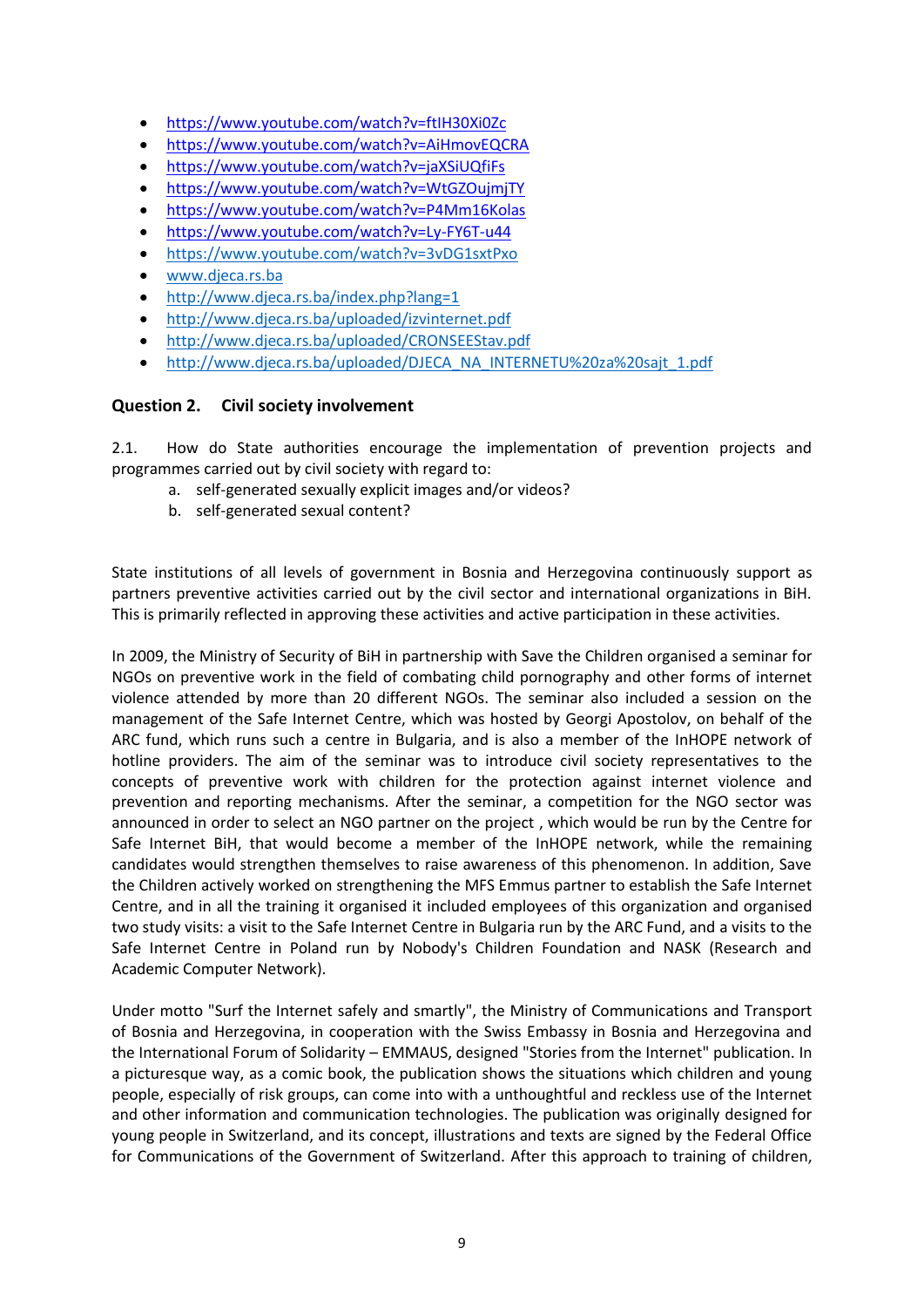- <https://www.youtube.com/watch?v=ftIH30Xi0Zc>
- <https://www.youtube.com/watch?v=AiHmovEQCRA>
- <https://www.youtube.com/watch?v=jaXSiUQfiFs>
- <https://www.youtube.com/watch?v=WtGZOujmjTY>
- <https://www.youtube.com/watch?v=P4Mm16Kolas>
- <https://www.youtube.com/watch?v=Ly-FY6T-u44>
- <https://www.youtube.com/watch?v=3vDG1sxtPxo>
- [www.djeca.rs.ba](http://www.djeca.rs.ba/)
- <http://www.djeca.rs.ba/index.php?lang=1>
- <http://www.djeca.rs.ba/uploaded/izvinternet.pdf>
- <http://www.djeca.rs.ba/uploaded/CRONSEEStav.pdf>
- [http://www.djeca.rs.ba/uploaded/DJECA\\_NA\\_INTERNETU%20za%20sajt\\_1.pdf](http://www.djeca.rs.ba/uploaded/DJECA_NA_INTERNETU%20za%20sajt_1.pdf)

## **Question 2. Civil society involvement**

2.1. How do State authorities encourage the implementation of prevention projects and programmes carried out by civil society with regard to:

- a. self-generated sexually explicit images and/or videos?
- b. self-generated sexual content?

State institutions of all levels of government in Bosnia and Herzegovina continuously support as partners preventive activities carried out by the civil sector and international organizations in BiH. This is primarily reflected in approving these activities and active participation in these activities.

In 2009, the Ministry of Security of BiH in partnership with Save the Children organised a seminar for NGOs on preventive work in the field of combating child pornography and other forms of internet violence attended by more than 20 different NGOs. The seminar also included a session on the management of the Safe Internet Centre, which was hosted by Georgi Apostolov, on behalf of the ARC fund, which runs such a centre in Bulgaria, and is also a member of the InHOPE network of hotline providers. The aim of the seminar was to introduce civil society representatives to the concepts of preventive work with children for the protection against internet violence and prevention and reporting mechanisms. After the seminar, a competition for the NGO sector was announced in order to select an NGO partner on the project , which would be run by the Centre for Safe Internet BiH, that would become a member of the InHOPE network, while the remaining candidates would strengthen themselves to raise awareness of this phenomenon. In addition, Save the Children actively worked on strengthening the MFS Emmus partner to establish the Safe Internet Centre, and in all the training it organised it included employees of this organization and organised two study visits: a visit to the Safe Internet Centre in Bulgaria run by the ARC Fund, and a visits to the Safe Internet Centre in Poland run by Nobody's Children Foundation and NASK (Research and Academic Computer Network).

Under motto "Surf the Internet safely and smartly", the Ministry of Communications and Transport of Bosnia and Herzegovina, in cooperation with the Swiss Embassy in Bosnia and Herzegovina and the International Forum of Solidarity – EMMAUS, designed "Stories from the Internet" publication. In a picturesque way, as a comic book, the publication shows the situations which children and young people, especially of risk groups, can come into with a unthoughtful and reckless use of the Internet and other information and communication technologies. The publication was originally designed for young people in Switzerland, and its concept, illustrations and texts are signed by the Federal Office for Communications of the Government of Switzerland. After this approach to training of children,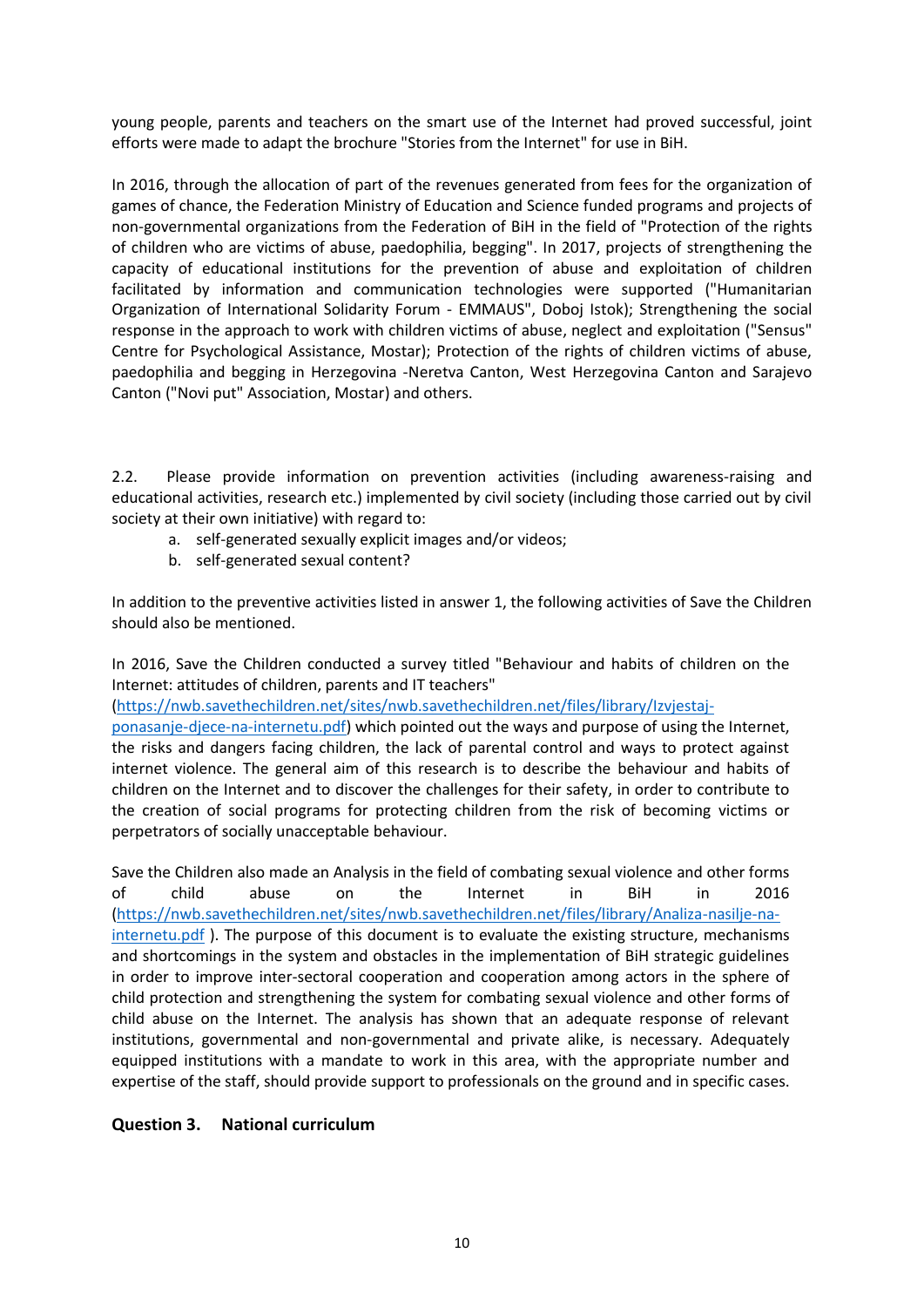young people, parents and teachers on the smart use of the Internet had proved successful, joint efforts were made to adapt the brochure "Stories from the Internet" for use in BiH.

In 2016, through the allocation of part of the revenues generated from fees for the organization of games of chance, the Federation Ministry of Education and Science funded programs and projects of non-governmental organizations from the Federation of BiH in the field of "Protection of the rights of children who are victims of abuse, paedophilia, begging". In 2017, projects of strengthening the capacity of educational institutions for the prevention of abuse and exploitation of children facilitated by information and communication technologies were supported ("Humanitarian Organization of International Solidarity Forum - EMMAUS", Doboj Istok); Strengthening the social response in the approach to work with children victims of abuse, neglect and exploitation ("Sensus" Centre for Psychological Assistance, Mostar); Protection of the rights of children victims of abuse, paedophilia and begging in Herzegovina -Neretva Canton, West Herzegovina Canton and Sarajevo Canton ("Novi put" Association, Mostar) and others.

2.2. Please provide information on prevention activities (including awareness-raising and educational activities, research etc.) implemented by civil society (including those carried out by civil society at their own initiative) with regard to:

- a. self-generated sexually explicit images and/or videos;
- b. self-generated sexual content?

In addition to the preventive activities listed in answer 1, the following activities of Save the Children should also be mentioned.

In 2016, Save the Children conducted a survey titled "Behaviour and habits of children on the Internet: attitudes of children, parents and IT teachers"

[\(https://nwb.savethechildren.net/sites/nwb.savethechildren.net/files/library/Izvjestaj-](https://nwb.savethechildren.net/sites/nwb.savethechildren.net/files/library/Izvjestaj-ponasanje-djece-na-internetu.pdf)

[ponasanje-djece-na-internetu.pdf\)](https://nwb.savethechildren.net/sites/nwb.savethechildren.net/files/library/Izvjestaj-ponasanje-djece-na-internetu.pdf) which pointed out the ways and purpose of using the Internet, the risks and dangers facing children, the lack of parental control and ways to protect against internet violence. The general aim of this research is to describe the behaviour and habits of children on the Internet and to discover the challenges for their safety, in order to contribute to the creation of social programs for protecting children from the risk of becoming victims or perpetrators of socially unacceptable behaviour.

Save the Children also made an Analysis in the field of combating sexual violence and other forms of child abuse on the Internet in BiH in 2016 [\(https://nwb.savethechildren.net/sites/nwb.savethechildren.net/files/library/Analiza-nasilje-na](https://nwb.savethechildren.net/sites/nwb.savethechildren.net/files/library/Analiza-nasilje-na-internetu.pdf)[internetu.pdf](https://nwb.savethechildren.net/sites/nwb.savethechildren.net/files/library/Analiza-nasilje-na-internetu.pdf) ). The purpose of this document is to evaluate the existing structure, mechanisms and shortcomings in the system and obstacles in the implementation of BiH strategic guidelines in order to improve inter-sectoral cooperation and cooperation among actors in the sphere of child protection and strengthening the system for combating sexual violence and other forms of child abuse on the Internet. The analysis has shown that an adequate response of relevant institutions, governmental and non-governmental and private alike, is necessary. Adequately equipped institutions with a mandate to work in this area, with the appropriate number and expertise of the staff, should provide support to professionals on the ground and in specific cases.

## **Question 3. National curriculum**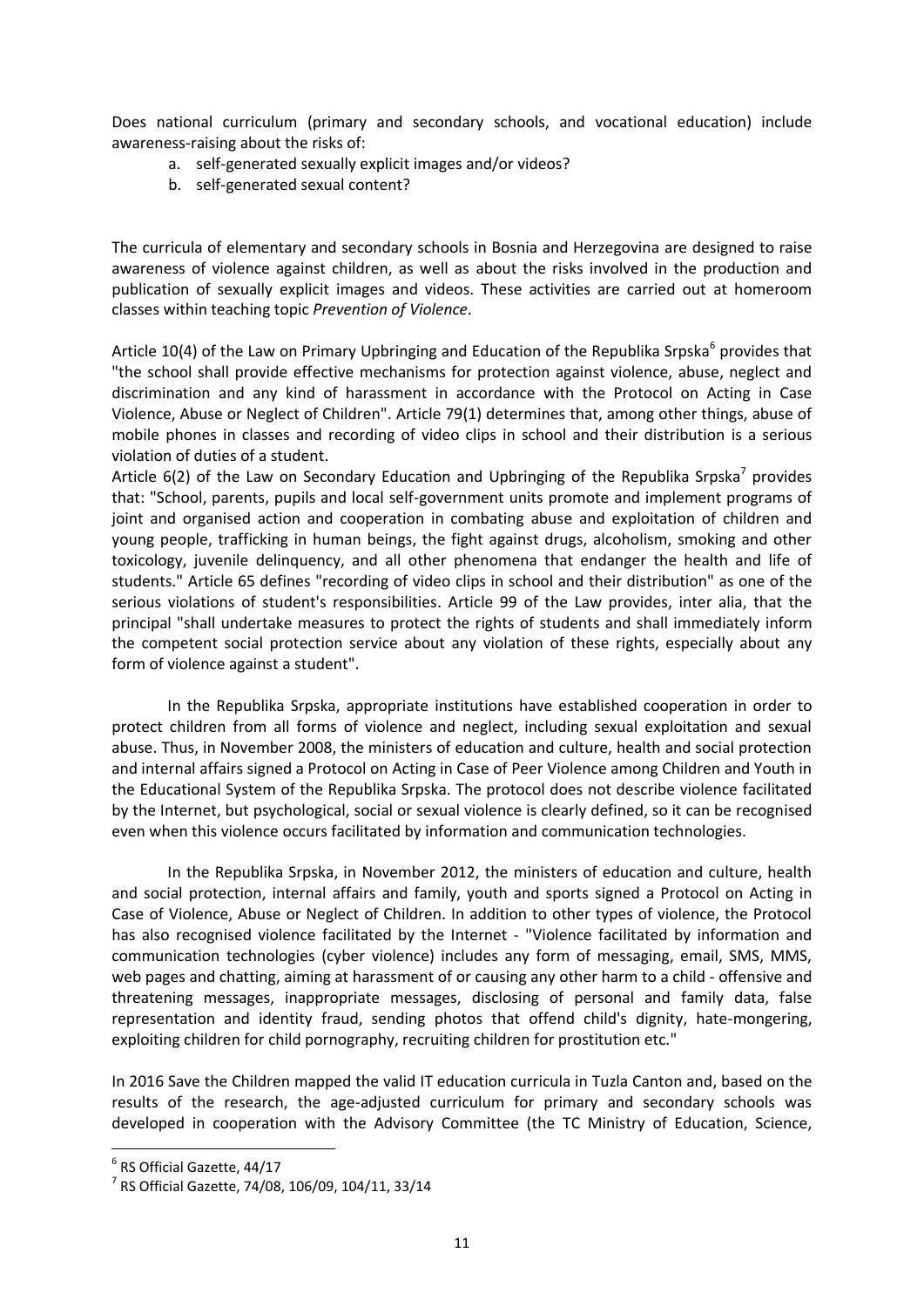Does national curriculum (primary and secondary schools, and vocational education) include awareness-raising about the risks of:

- a. self-generated sexually explicit images and/or videos?
- b. self-generated sexual content?

The curricula of elementary and secondary schools in Bosnia and Herzegovina are designed to raise awareness of violence against children, as well as about the risks involved in the production and publication of sexually explicit images and videos. These activities are carried out at homeroom classes within teaching topic *Prevention of Violence*.

Article 10(4) of the Law on Primary Upbringing and Education of the Republika Srpska<sup>6</sup> provides that "the school shall provide effective mechanisms for protection against violence, abuse, neglect and discrimination and any kind of harassment in accordance with the Protocol on Acting in Case Violence, Abuse or Neglect of Children". Article 79(1) determines that, among other things, abuse of mobile phones in classes and recording of video clips in school and their distribution is a serious violation of duties of a student.

Article  $6(2)$  of the Law on Secondary Education and Upbringing of the Republika Srpska<sup>7</sup> provides that: "School, parents, pupils and local self-government units promote and implement programs of joint and organised action and cooperation in combating abuse and exploitation of children and young people, trafficking in human beings, the fight against drugs, alcoholism, smoking and other toxicology, juvenile delinquency, and all other phenomena that endanger the health and life of students." Article 65 defines "recording of video clips in school and their distribution" as one of the serious violations of student's responsibilities. Article 99 of the Law provides, inter alia, that the principal "shall undertake measures to protect the rights of students and shall immediately inform the competent social protection service about any violation of these rights, especially about any form of violence against a student".

In the Republika Srpska, appropriate institutions have established cooperation in order to protect children from all forms of violence and neglect, including sexual exploitation and sexual abuse. Thus, in November 2008, the ministers of education and culture, health and social protection and internal affairs signed a Protocol on Acting in Case of Peer Violence among Children and Youth in the Educational System of the Republika Srpska. The protocol does not describe violence facilitated by the Internet, but psychological, social or sexual violence is clearly defined, so it can be recognised even when this violence occurs facilitated by information and communication technologies.

In the Republika Srpska, in November 2012, the ministers of education and culture, health and social protection, internal affairs and family, youth and sports signed a Protocol on Acting in Case of Violence, Abuse or Neglect of Children. In addition to other types of violence, the Protocol has also recognised violence facilitated by the Internet - "Violence facilitated by information and communication technologies (cyber violence) includes any form of messaging, email, SMS, MMS, web pages and chatting, aiming at harassment of or causing any other harm to a child - offensive and threatening messages, inappropriate messages, disclosing of personal and family data, false representation and identity fraud, sending photos that offend child's dignity, hate-mongering, exploiting children for child pornography, recruiting children for prostitution etc."

In 2016 Save the Children mapped the valid IT education curricula in Tuzla Canton and, based on the results of the research, the age-adjusted curriculum for primary and secondary schools was developed in cooperation with the Advisory Committee (the TC Ministry of Education, Science,

 $\overline{a}$ 

<sup>6</sup> RS Official Gazette, 44/17

<sup>7</sup> RS Official Gazette, 74/08, 106/09, 104/11, 33/14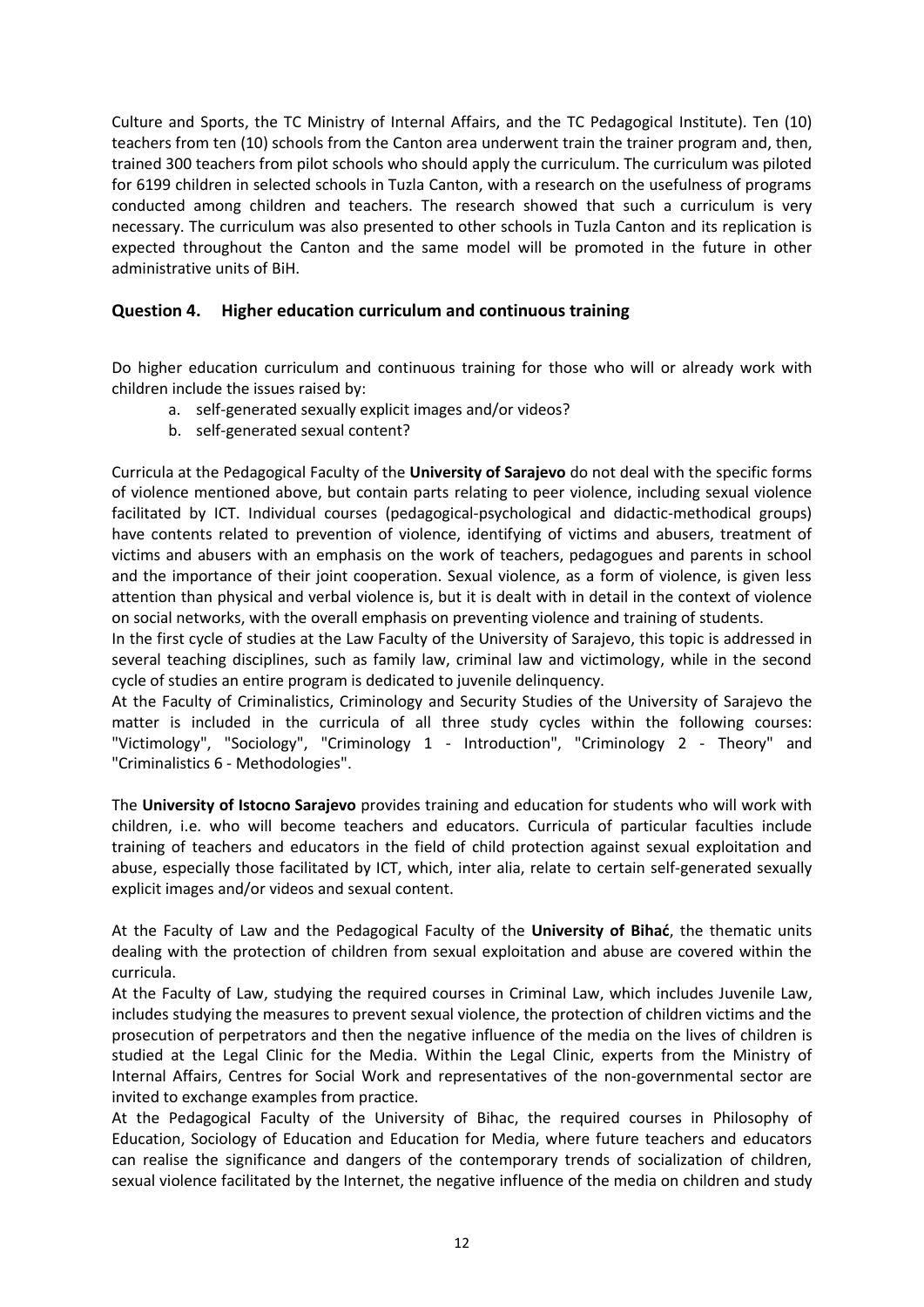Culture and Sports, the TC Ministry of Internal Affairs, and the TC Pedagogical Institute). Ten (10) teachers from ten (10) schools from the Canton area underwent train the trainer program and, then, trained 300 teachers from pilot schools who should apply the curriculum. The curriculum was piloted for 6199 children in selected schools in Tuzla Canton, with a research on the usefulness of programs conducted among children and teachers. The research showed that such a curriculum is very necessary. The curriculum was also presented to other schools in Tuzla Canton and its replication is expected throughout the Canton and the same model will be promoted in the future in other administrative units of BiH.

# **Question 4. Higher education curriculum and continuous training**

Do higher education curriculum and continuous training for those who will or already work with children include the issues raised by:

- a. self-generated sexually explicit images and/or videos?
- b. self-generated sexual content?

Curricula at the Pedagogical Faculty of the **University of Sarajevo** do not deal with the specific forms of violence mentioned above, but contain parts relating to peer violence, including sexual violence facilitated by ICT. Individual courses (pedagogical-psychological and didactic-methodical groups) have contents related to prevention of violence, identifying of victims and abusers, treatment of victims and abusers with an emphasis on the work of teachers, pedagogues and parents in school and the importance of their joint cooperation. Sexual violence, as a form of violence, is given less attention than physical and verbal violence is, but it is dealt with in detail in the context of violence on social networks, with the overall emphasis on preventing violence and training of students.

In the first cycle of studies at the Law Faculty of the University of Sarajevo, this topic is addressed in several teaching disciplines, such as family law, criminal law and victimology, while in the second cycle of studies an entire program is dedicated to juvenile delinquency.

At the Faculty of Criminalistics, Criminology and Security Studies of the University of Sarajevo the matter is included in the curricula of all three study cycles within the following courses: "Victimology", "Sociology", "Criminology 1 - Introduction", "Criminology 2 - Theory" and "Criminalistics 6 - Methodologies".

The **University of Istocno Sarajevo** provides training and education for students who will work with children, i.e. who will become teachers and educators. Curricula of particular faculties include training of teachers and educators in the field of child protection against sexual exploitation and abuse, especially those facilitated by ICT, which, inter alia, relate to certain self-generated sexually explicit images and/or videos and sexual content.

At the Faculty of Law and the Pedagogical Faculty of the **University of Bihać**, the thematic units dealing with the protection of children from sexual exploitation and abuse are covered within the curricula.

At the Faculty of Law, studying the required courses in Criminal Law, which includes Juvenile Law, includes studying the measures to prevent sexual violence, the protection of children victims and the prosecution of perpetrators and then the negative influence of the media on the lives of children is studied at the Legal Clinic for the Media. Within the Legal Clinic, experts from the Ministry of Internal Affairs, Centres for Social Work and representatives of the non-governmental sector are invited to exchange examples from practice.

At the Pedagogical Faculty of the University of Bihac, the required courses in Philosophy of Education, Sociology of Education and Education for Media, where future teachers and educators can realise the significance and dangers of the contemporary trends of socialization of children, sexual violence facilitated by the Internet, the negative influence of the media on children and study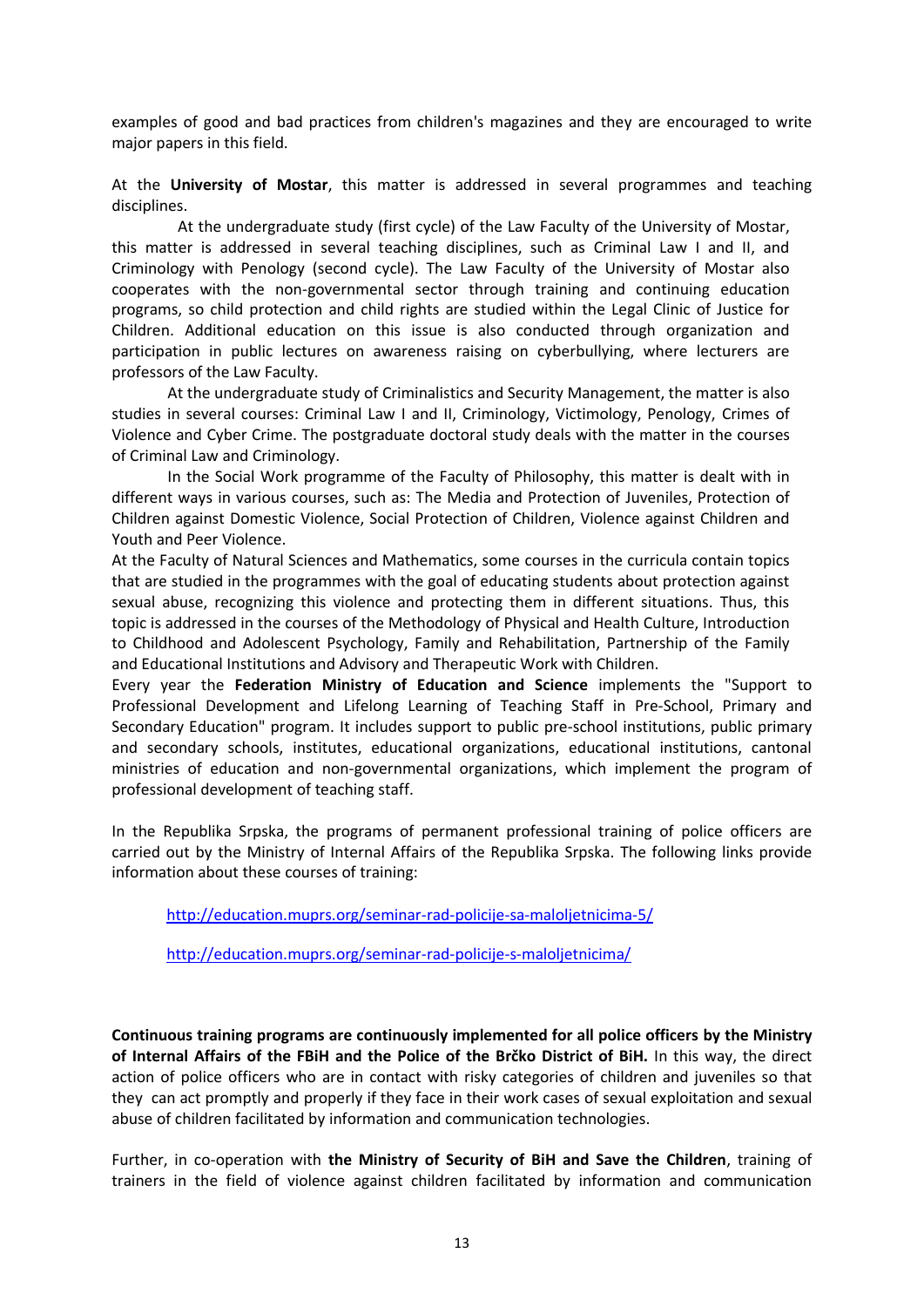examples of good and bad practices from children's magazines and they are encouraged to write major papers in this field.

At the **University of Mostar**, this matter is addressed in several programmes and teaching disciplines.

At the undergraduate study (first cycle) of the Law Faculty of the University of Mostar, this matter is addressed in several teaching disciplines, such as Criminal Law I and II, and Criminology with Penology (second cycle). The Law Faculty of the University of Mostar also cooperates with the non-governmental sector through training and continuing education programs, so child protection and child rights are studied within the Legal Clinic of Justice for Children. Additional education on this issue is also conducted through organization and participation in public lectures on awareness raising on cyberbullying, where lecturers are professors of the Law Faculty.

At the undergraduate study of Criminalistics and Security Management, the matter is also studies in several courses: Criminal Law I and II, Criminology, Victimology, Penology, Crimes of Violence and Cyber Crime. The postgraduate doctoral study deals with the matter in the courses of Criminal Law and Criminology.

In the Social Work programme of the Faculty of Philosophy, this matter is dealt with in different ways in various courses, such as: The Media and Protection of Juveniles, Protection of Children against Domestic Violence, Social Protection of Children, Violence against Children and Youth and Peer Violence.

At the Faculty of Natural Sciences and Mathematics, some courses in the curricula contain topics that are studied in the programmes with the goal of educating students about protection against sexual abuse, recognizing this violence and protecting them in different situations. Thus, this topic is addressed in the courses of the Methodology of Physical and Health Culture, Introduction to Childhood and Adolescent Psychology, Family and Rehabilitation, Partnership of the Family and Educational Institutions and Advisory and Therapeutic Work with Children.

Every year the **Federation Ministry of Education and Science** implements the "Support to Professional Development and Lifelong Learning of Teaching Staff in Pre-School, Primary and Secondary Education" program. It includes support to public pre-school institutions, public primary and secondary schools, institutes, educational organizations, educational institutions, cantonal ministries of education and non-governmental organizations, which implement the program of professional development of teaching staff.

In the Republika Srpska, the programs of permanent professional training of police officers are carried out by the Ministry of Internal Affairs of the Republika Srpska. The following links provide information about these courses of training:

<http://education.muprs.org/seminar-rad-policije-sa-maloljetnicima-5/>

<http://education.muprs.org/seminar-rad-policije-s-maloljetnicima/>

**Continuous training programs are continuously implemented for all police officers by the Ministry of Internal Affairs of the FBiH and the Police of the Brčko District of BiH.** In this way, the direct action of police officers who are in contact with risky categories of children and juveniles so that they can act promptly and properly if they face in their work cases of sexual exploitation and sexual abuse of children facilitated by information and communication technologies.

Further, in co-operation with **the Ministry of Security of BiH and Save the Children**, training of trainers in the field of violence against children facilitated by information and communication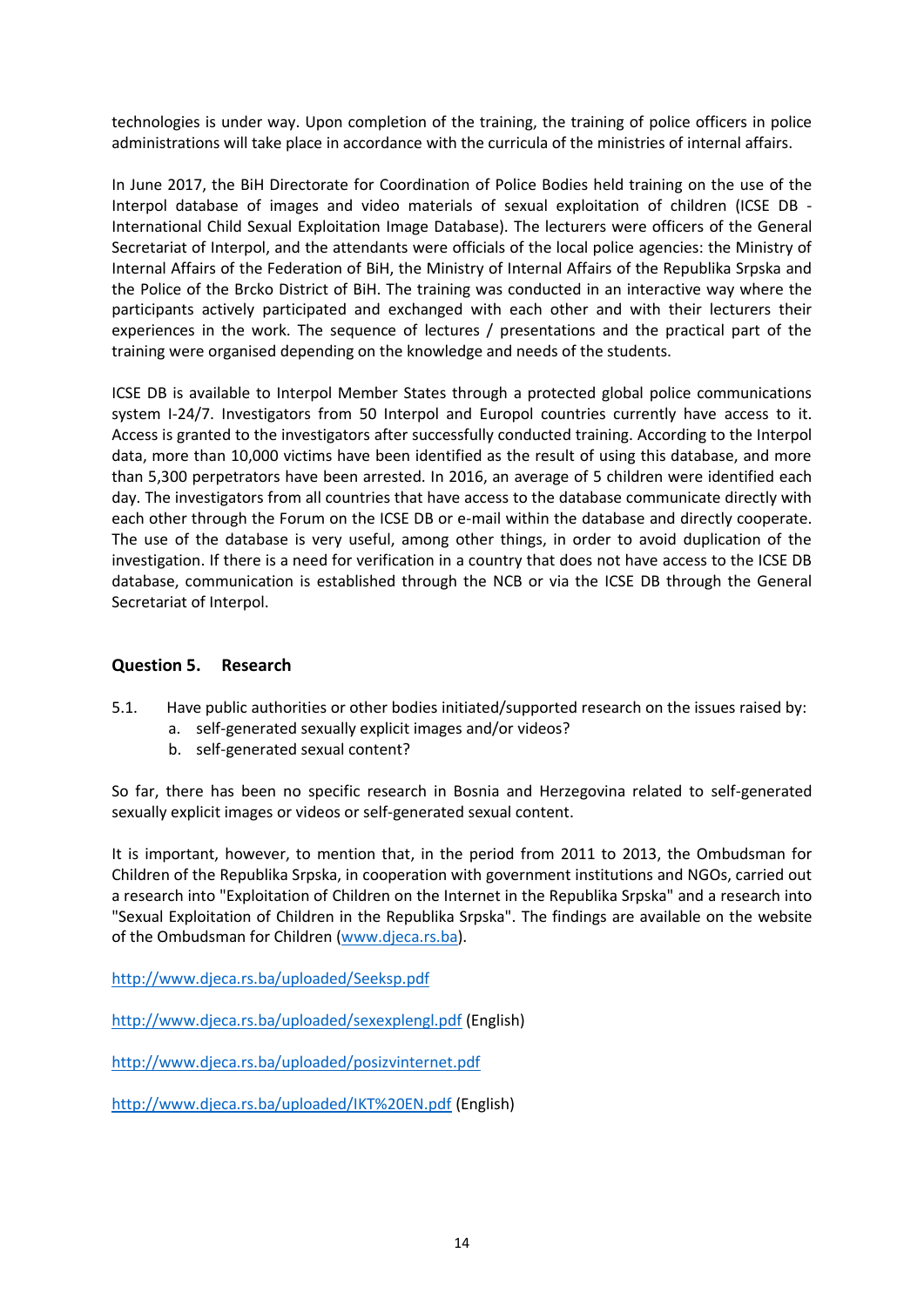technologies is under way. Upon completion of the training, the training of police officers in police administrations will take place in accordance with the curricula of the ministries of internal affairs.

In June 2017, the BiH Directorate for Coordination of Police Bodies held training on the use of the Interpol database of images and video materials of sexual exploitation of children (ICSE DB - International Child Sexual Exploitation Image Database). The lecturers were officers of the General Secretariat of Interpol, and the attendants were officials of the local police agencies: the Ministry of Internal Affairs of the Federation of BiH, the Ministry of Internal Affairs of the Republika Srpska and the Police of the Brcko District of BiH. The training was conducted in an interactive way where the participants actively participated and exchanged with each other and with their lecturers their experiences in the work. The sequence of lectures / presentations and the practical part of the training were organised depending on the knowledge and needs of the students.

ICSE DB is available to Interpol Member States through a protected global police communications system I-24/7. Investigators from 50 Interpol and Europol countries currently have access to it. Access is granted to the investigators after successfully conducted training. According to the Interpol data, more than 10,000 victims have been identified as the result of using this database, and more than 5,300 perpetrators have been arrested. In 2016, an average of 5 children were identified each day. The investigators from all countries that have access to the database communicate directly with each other through the Forum on the ICSE DB or e-mail within the database and directly cooperate. The use of the database is very useful, among other things, in order to avoid duplication of the investigation. If there is a need for verification in a country that does not have access to the ICSE DB database, communication is established through the NCB or via the ICSE DB through the General Secretariat of Interpol.

## **Question 5. Research**

- 5.1. Have public authorities or other bodies initiated/supported research on the issues raised by:
	- a. self-generated sexually explicit images and/or videos?
	- b. self-generated sexual content?

So far, there has been no specific research in Bosnia and Herzegovina related to self-generated sexually explicit images or videos or self-generated sexual content.

It is important, however, to mention that, in the period from 2011 to 2013, the Ombudsman for Children of the Republika Srpska, in cooperation with government institutions and NGOs, carried out a research into "Exploitation of Children on the Internet in the Republika Srpska" and a research into "Sexual Exploitation of Children in the Republika Srpska". The findings are available on the website of the Ombudsman for Children [\(www.djeca.rs.ba\)](http://www.djeca.rs.ba/).

<http://www.djeca.rs.ba/uploaded/Seeksp.pdf>

<http://www.djeca.rs.ba/uploaded/sexexplengl.pdf> (English)

<http://www.djeca.rs.ba/uploaded/posizvinternet.pdf>

<http://www.djeca.rs.ba/uploaded/IKT%20EN.pdf> (English)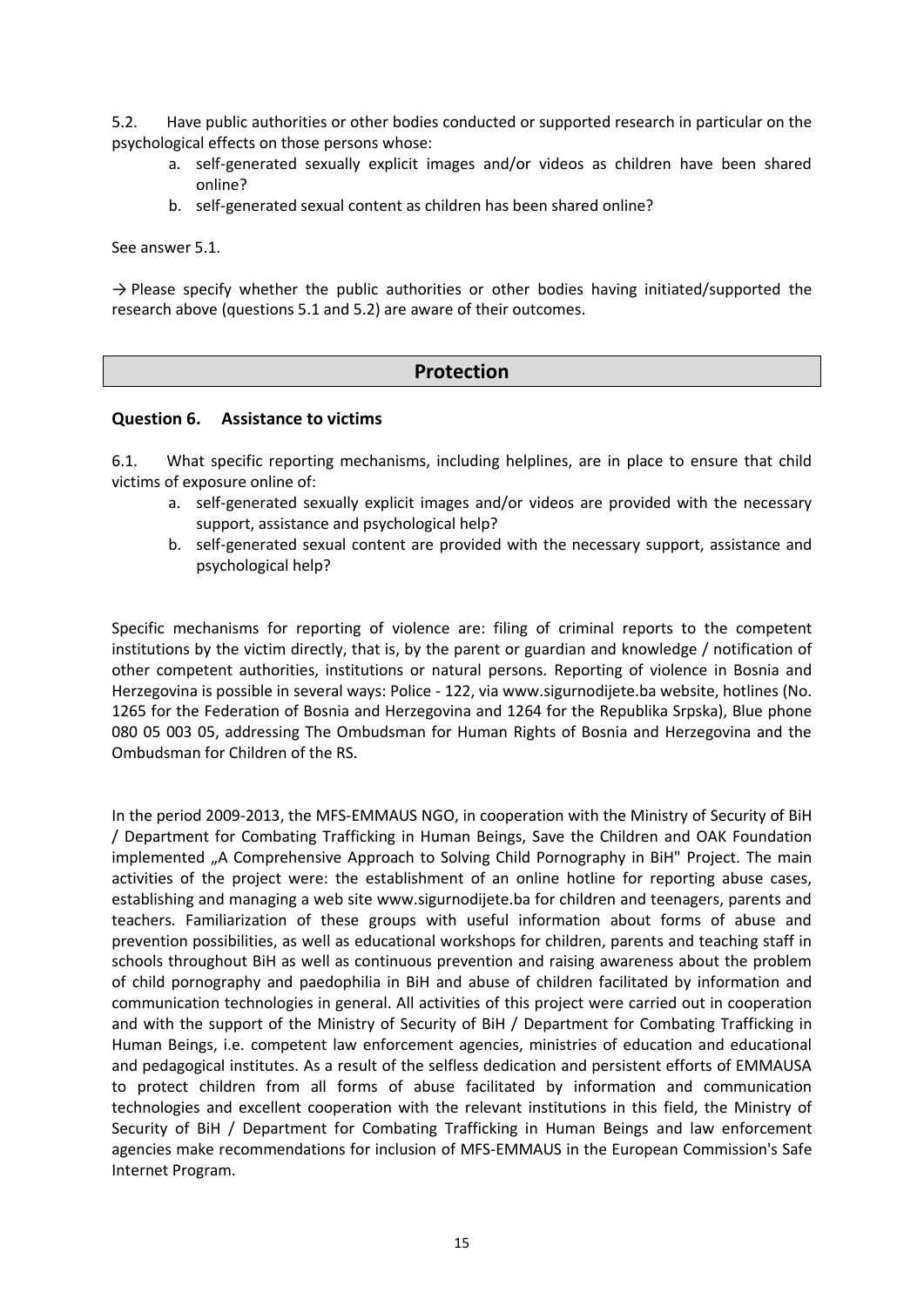5.2. Have public authorities or other bodies conducted or supported research in particular on the psychological effects on those persons whose:

- a. self-generated sexually explicit images and/or videos as children have been shared online?
- b. self-generated sexual content as children has been shared online?

See answer 5.1.

 $\rightarrow$  Please specify whether the public authorities or other bodies having initiated/supported the research above (questions 5.1 and 5.2) are aware of their outcomes.

# **Protection**

#### **Question 6. Assistance to victims**

6.1. What specific reporting mechanisms, including helplines, are in place to ensure that child victims of exposure online of:

- a. self-generated sexually explicit images and/or videos are provided with the necessary support, assistance and psychological help?
- b. self-generated sexual content are provided with the necessary support, assistance and psychological help?

Specific mechanisms for reporting of violence are: filing of criminal reports to the competent institutions by the victim directly, that is, by the parent or guardian and knowledge / notification of other competent authorities, institutions or natural persons. Reporting of violence in Bosnia and Herzegovina is possible in several ways: Police - 122, via www.sigurnodijete.ba website, hotlines (No. 1265 for the Federation of Bosnia and Herzegovina and 1264 for the Republika Srpska), Blue phone 080 05 003 05, addressing The Ombudsman for Human Rights of Bosnia and Herzegovina and the Ombudsman for Children of the RS.

In the period 2009-2013, the MFS-EMMAUS NGO, in cooperation with the Ministry of Security of BiH / Department for Combating Trafficking in Human Beings, Save the Children and OAK Foundation implemented "A Comprehensive Approach to Solving Child Pornography in BiH" Project. The main activities of the project were: the establishment of an online hotline for reporting abuse cases, establishing and managing a web site www.sigurnodijete.ba for children and teenagers, parents and teachers. Familiarization of these groups with useful information about forms of abuse and prevention possibilities, as well as educational workshops for children, parents and teaching staff in schools throughout BiH as well as continuous prevention and raising awareness about the problem of child pornography and paedophilia in BiH and abuse of children facilitated by information and communication technologies in general. All activities of this project were carried out in cooperation and with the support of the Ministry of Security of BiH / Department for Combating Trafficking in Human Beings, i.e. competent law enforcement agencies, ministries of education and educational and pedagogical institutes. As a result of the selfless dedication and persistent efforts of EMMAUSA to protect children from all forms of abuse facilitated by information and communication technologies and excellent cooperation with the relevant institutions in this field, the Ministry of Security of BiH / Department for Combating Trafficking in Human Beings and law enforcement agencies make recommendations for inclusion of MFS-EMMAUS in the European Commission's Safe Internet Program.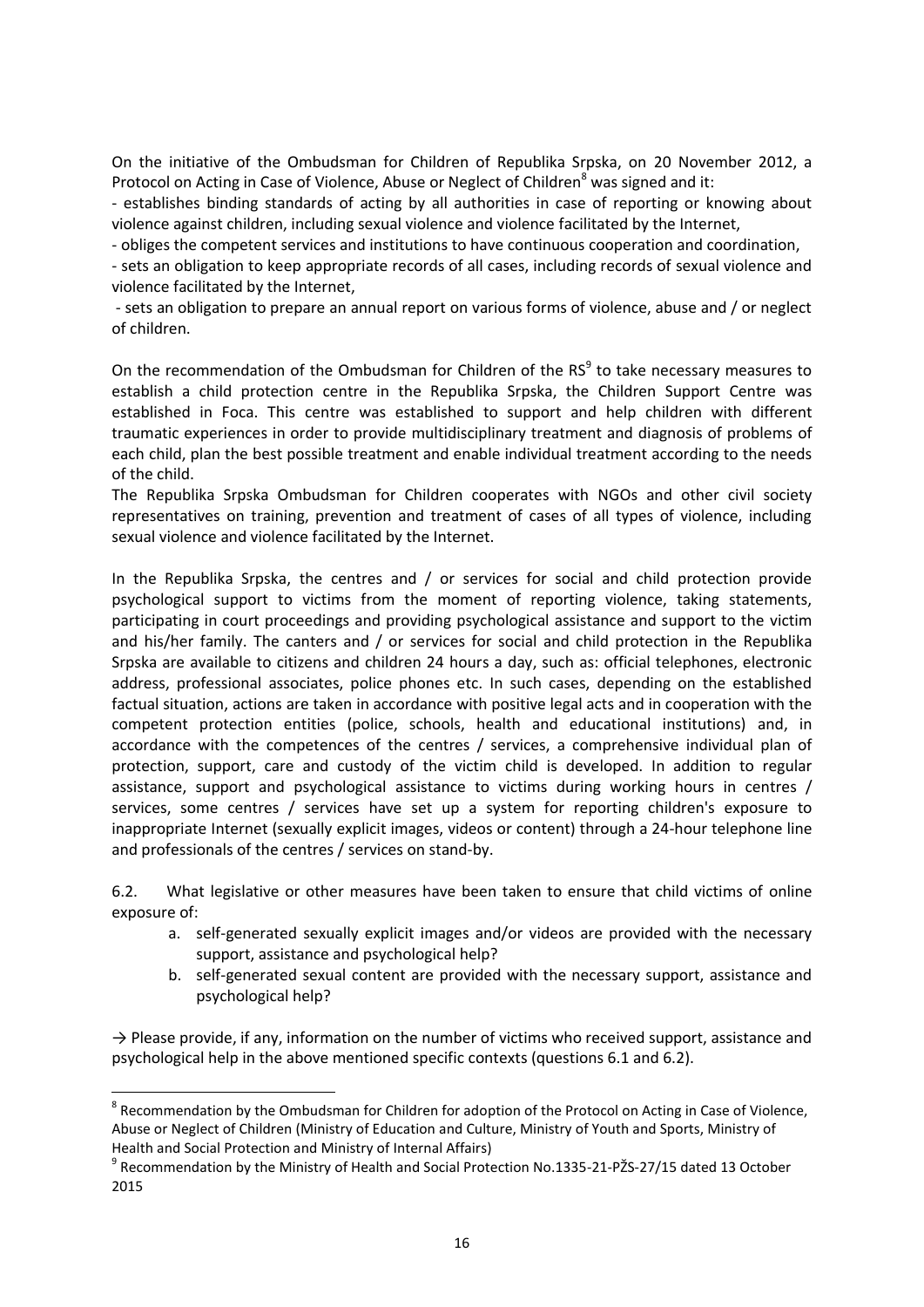On the initiative of the Ombudsman for Children of Republika Srpska, on 20 November 2012, a Protocol on Acting in Case of Violence, Abuse or Neglect of Children<sup>8</sup> was signed and it:

- establishes binding standards of acting by all authorities in case of reporting or knowing about violence against children, including sexual violence and violence facilitated by the Internet,

- obliges the competent services and institutions to have continuous cooperation and coordination,

- sets an obligation to keep appropriate records of all cases, including records of sexual violence and violence facilitated by the Internet,

- sets an obligation to prepare an annual report on various forms of violence, abuse and / or neglect of children.

On the recommendation of the Ombudsman for Children of the  $RS<sup>9</sup>$  to take necessary measures to establish a child protection centre in the Republika Srpska, the Children Support Centre was established in Foca. This centre was established to support and help children with different traumatic experiences in order to provide multidisciplinary treatment and diagnosis of problems of each child, plan the best possible treatment and enable individual treatment according to the needs of the child.

The Republika Srpska Ombudsman for Children cooperates with NGOs and other civil society representatives on training, prevention and treatment of cases of all types of violence, including sexual violence and violence facilitated by the Internet.

In the Republika Srpska, the centres and / or services for social and child protection provide psychological support to victims from the moment of reporting violence, taking statements, participating in court proceedings and providing psychological assistance and support to the victim and his/her family. The canters and / or services for social and child protection in the Republika Srpska are available to citizens and children 24 hours a day, such as: official telephones, electronic address, professional associates, police phones etc. In such cases, depending on the established factual situation, actions are taken in accordance with positive legal acts and in cooperation with the competent protection entities (police, schools, health and educational institutions) and, in accordance with the competences of the centres / services, a comprehensive individual plan of protection, support, care and custody of the victim child is developed. In addition to regular assistance, support and psychological assistance to victims during working hours in centres / services, some centres / services have set up a system for reporting children's exposure to inappropriate Internet (sexually explicit images, videos or content) through a 24-hour telephone line and professionals of the centres / services on stand-by.

6.2. What legislative or other measures have been taken to ensure that child victims of online exposure of:

- a. self-generated sexually explicit images and/or videos are provided with the necessary support, assistance and psychological help?
- b. self-generated sexual content are provided with the necessary support, assistance and psychological help?

 $\rightarrow$  Please provide, if any, information on the number of victims who received support, assistance and psychological help in the above mentioned specific contexts (questions 6.1 and 6.2).

**.** 

<sup>&</sup>lt;sup>8</sup> Recommendation by the Ombudsman for Children for adoption of the Protocol on Acting in Case of Violence, Abuse or Neglect of Children (Ministry of Education and Culture, Ministry of Youth and Sports, Ministry of Health and Social Protection and Ministry of Internal Affairs)

<sup>9</sup> Recommendation by the Ministry of Health and Social Protection No.1335-21-PŽS-27/15 dated 13 October 2015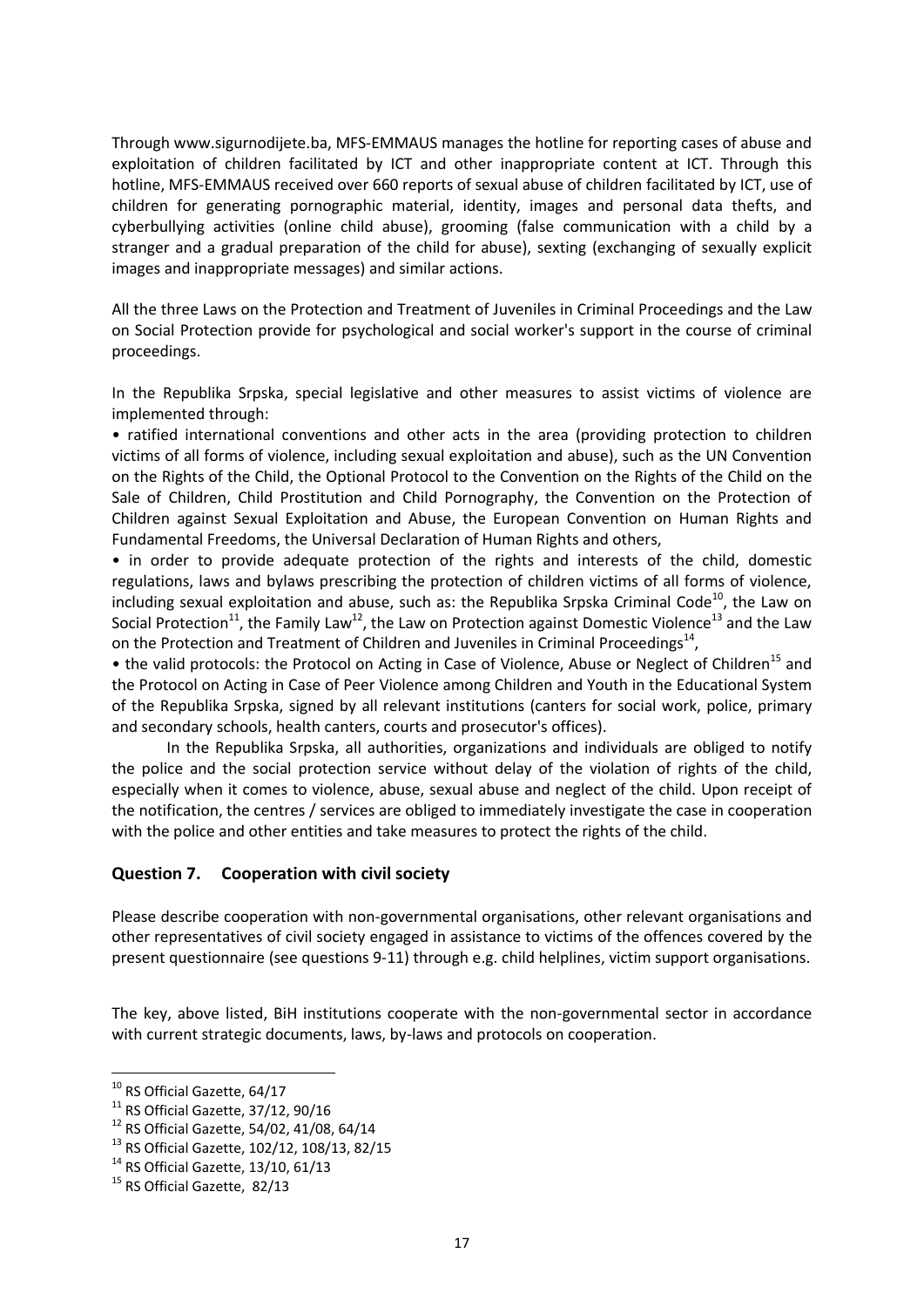Through www.sigurnodijete.ba, MFS-EMMAUS manages the hotline for reporting cases of abuse and exploitation of children facilitated by ICT and other inappropriate content at ICT. Through this hotline, MFS-EMMAUS received over 660 reports of sexual abuse of children facilitated by ICT, use of children for generating pornographic material, identity, images and personal data thefts, and cyberbullying activities (online child abuse), grooming (false communication with a child by a stranger and a gradual preparation of the child for abuse), sexting (exchanging of sexually explicit images and inappropriate messages) and similar actions.

All the three Laws on the Protection and Treatment of Juveniles in Criminal Proceedings and the Law on Social Protection provide for psychological and social worker's support in the course of criminal proceedings.

In the Republika Srpska, special legislative and other measures to assist victims of violence are implemented through:

• ratified international conventions and other acts in the area (providing protection to children victims of all forms of violence, including sexual exploitation and abuse), such as the UN Convention on the Rights of the Child, the Optional Protocol to the Convention on the Rights of the Child on the Sale of Children, Child Prostitution and Child Pornography, the Convention on the Protection of Children against Sexual Exploitation and Abuse, the European Convention on Human Rights and Fundamental Freedoms, the Universal Declaration of Human Rights and others,

• in order to provide adequate protection of the rights and interests of the child, domestic regulations, laws and bylaws prescribing the protection of children victims of all forms of violence, including sexual exploitation and abuse, such as: the Republika Srpska Criminal Code<sup>10</sup>, the Law on Social Protection<sup>11</sup>, the Family Law<sup>12</sup>, the Law on Protection against Domestic Violence<sup>13</sup> and the Law on the Protection and Treatment of Children and Juveniles in Criminal Proceedings<sup>14</sup>,

• the valid protocols: the Protocol on Acting in Case of Violence, Abuse or Neglect of Children<sup>15</sup> and the Protocol on Acting in Case of Peer Violence among Children and Youth in the Educational System of the Republika Srpska, signed by all relevant institutions (canters for social work, police, primary and secondary schools, health canters, courts and prosecutor's offices).

In the Republika Srpska, all authorities, organizations and individuals are obliged to notify the police and the social protection service without delay of the violation of rights of the child, especially when it comes to violence, abuse, sexual abuse and neglect of the child. Upon receipt of the notification, the centres / services are obliged to immediately investigate the case in cooperation with the police and other entities and take measures to protect the rights of the child.

#### **Question 7. Cooperation with civil society**

Please describe cooperation with non-governmental organisations, other relevant organisations and other representatives of civil society engaged in assistance to victims of the offences covered by the present questionnaire (see questions 9-11) through e.g. child helplines, victim support organisations.

The key, above listed, BiH institutions cooperate with the non-governmental sector in accordance with current strategic documents, laws, by-laws and protocols on cooperation.

**.** 

<sup>&</sup>lt;sup>10</sup> RS Official Gazette, 64/17

 $11$  RS Official Gazette, 37/12, 90/16

<sup>12</sup> RS Official Gazette, 54/02, 41/08, 64/14

<sup>13</sup> RS Official Gazette, 102/12, 108/13, 82/15

 $14$  RS Official Gazette, 13/10, 61/13

<sup>&</sup>lt;sup>15</sup> RS Official Gazette, 82/13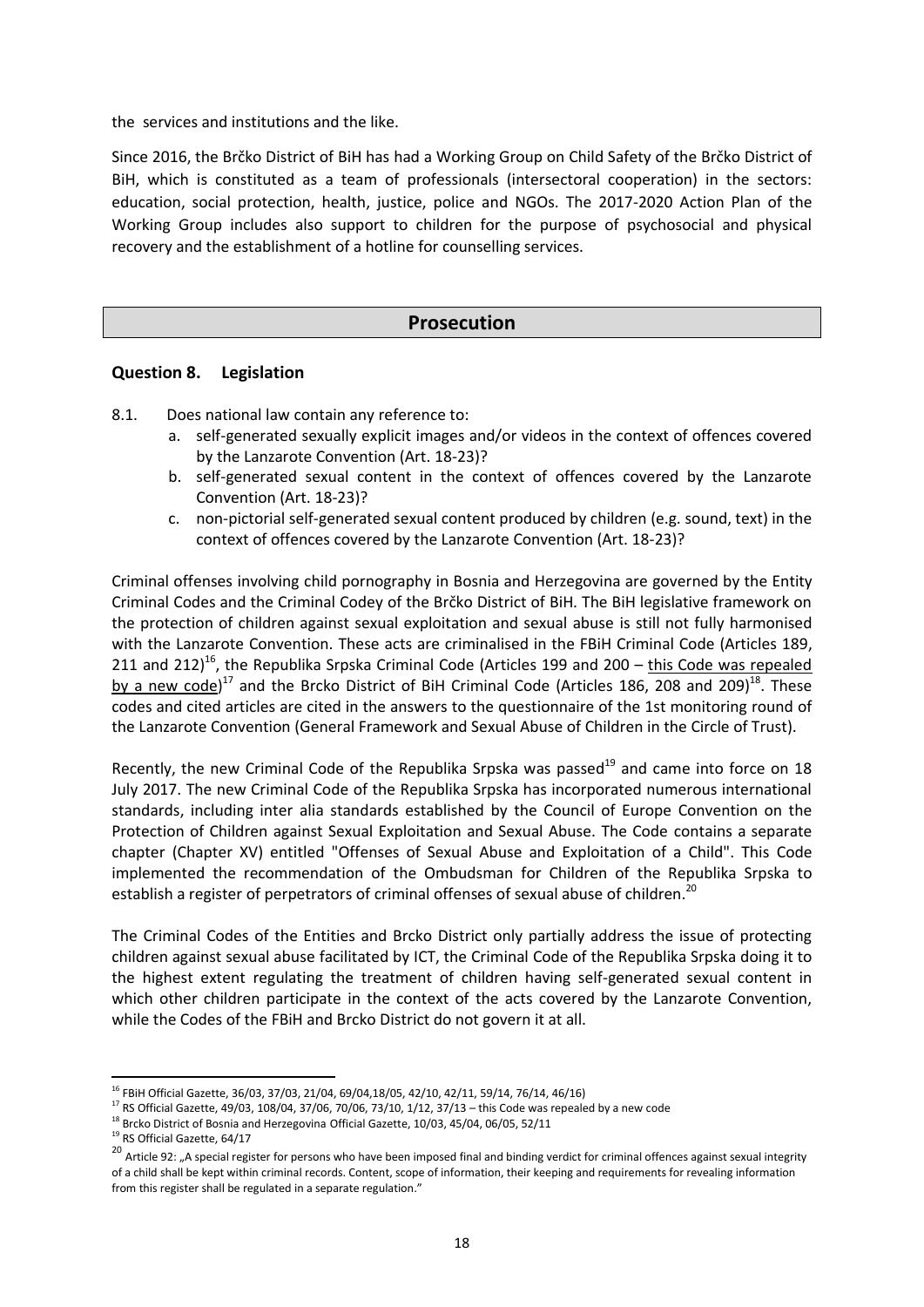the services and institutions and the like.

Since 2016, the Brčko District of BiH has had a Working Group on Child Safety of the Brčko District of BiH, which is constituted as a team of professionals (intersectoral cooperation) in the sectors: education, social protection, health, justice, police and NGOs. The 2017-2020 Action Plan of the Working Group includes also support to children for the purpose of psychosocial and physical recovery and the establishment of a hotline for counselling services.

## **Prosecution**

#### **Question 8. Legislation**

- 8.1. Does national law contain any reference to:
	- a. self-generated sexually explicit images and/or videos in the context of offences covered by the Lanzarote Convention (Art. 18-23)?
	- b. self-generated sexual content in the context of offences covered by the Lanzarote Convention (Art. 18-23)?
	- c. non-pictorial self-generated sexual content produced by children (e.g. sound, text) in the context of offences covered by the Lanzarote Convention (Art. 18-23)?

Criminal offenses involving child pornography in Bosnia and Herzegovina are governed by the Entity Criminal Codes and the Criminal Codey of the Brčko District of BiH. The BiH legislative framework on the protection of children against sexual exploitation and sexual abuse is still not fully harmonised with the Lanzarote Convention. These acts are criminalised in the FBiH Criminal Code (Articles 189, 211 and 212)<sup>16</sup>, the Republika Srpska Criminal Code (Articles 199 and 200  $-$  this Code was repealed by a new code)<sup>17</sup> and the Brcko District of BiH Criminal Code (Articles 186, 208 and 209)<sup>18</sup>. These codes and cited articles are cited in the answers to the questionnaire of the 1st monitoring round of the Lanzarote Convention (General Framework and Sexual Abuse of Children in the Circle of Trust).

Recently, the new Criminal Code of the Republika Srpska was passed<sup>19</sup> and came into force on 18 July 2017. The new Criminal Code of the Republika Srpska has incorporated numerous international standards, including inter alia standards established by the Council of Europe Convention on the Protection of Children against Sexual Exploitation and Sexual Abuse. The Code contains a separate chapter (Chapter XV) entitled "Offenses of Sexual Abuse and Exploitation of a Child". This Code implemented the recommendation of the Ombudsman for Children of the Republika Srpska to establish a register of perpetrators of criminal offenses of sexual abuse of children.<sup>20</sup>

The Criminal Codes of the Entities and Brcko District only partially address the issue of protecting children against sexual abuse facilitated by ICT, the Criminal Code of the Republika Srpska doing it to the highest extent regulating the treatment of children having self-generated sexual content in which other children participate in the context of the acts covered by the Lanzarote Convention, while the Codes of the FBiH and Brcko District do not govern it at all.

 $\overline{a}$ 

<sup>&</sup>lt;sup>16</sup> FBiH Official Gazette, 36/03, 37/03, 21/04, 69/04,18/05, 42/10, 42/11, 59/14, 76/14, 46/16)

 $17$  RS Official Gazette, 49/03, 108/04, 37/06, 70/06, 73/10, 1/12, 37/13 – this Code was repealed by a new code

 $18$  Brcko District of Bosnia and Herzegovina Official Gazette, 10/03, 45/04, 06/05, 52/11

<sup>&</sup>lt;sup>19</sup> RS Official Gazette, 64/17

<sup>&</sup>lt;sup>20</sup> Article 92: "A special register for persons who have been imposed final and binding verdict for criminal offences against sexual integrity of a child shall be kept within criminal records. Content, scope of information, their keeping and requirements for revealing information from this register shall be regulated in a separate regulation."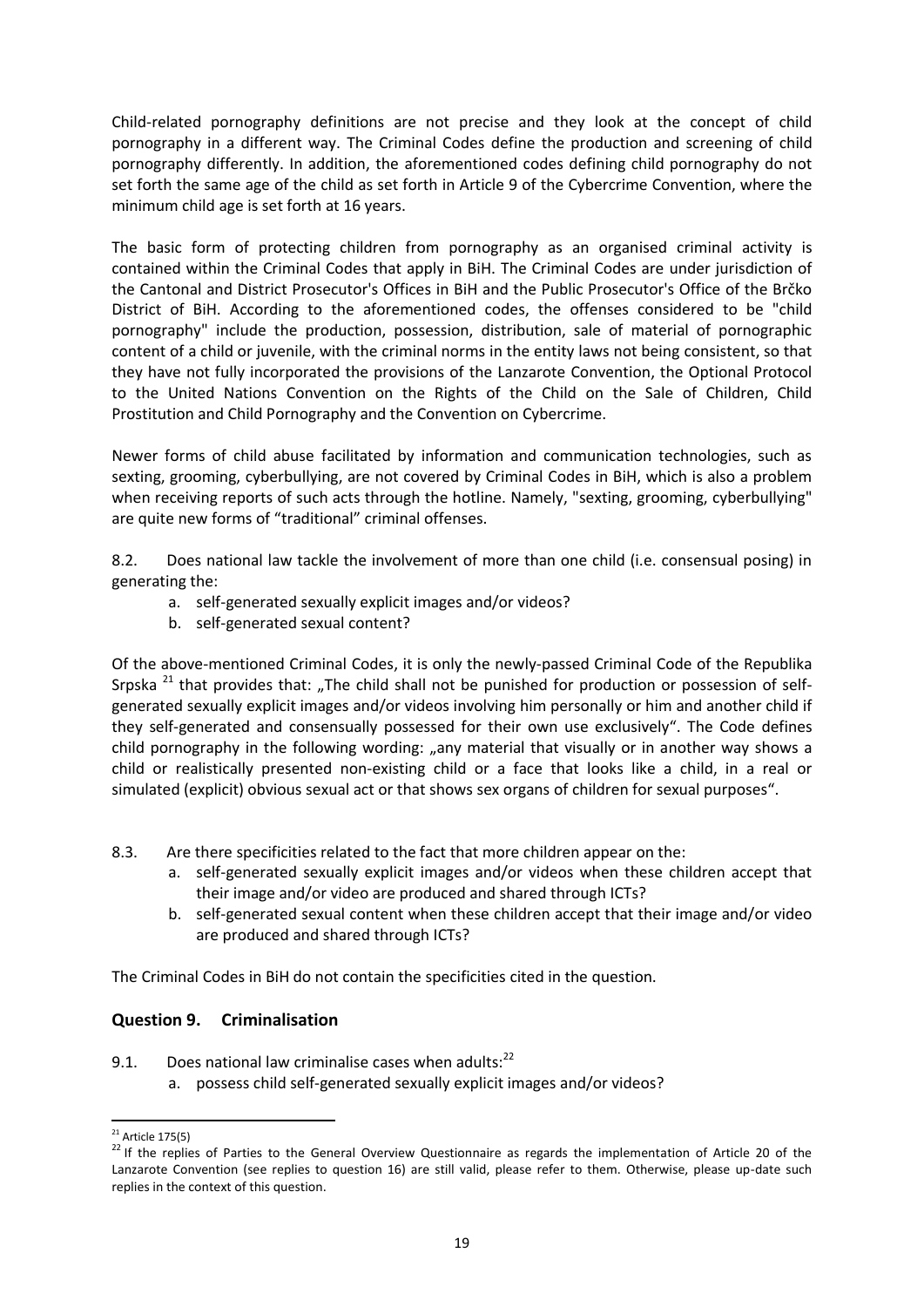Child-related pornography definitions are not precise and they look at the concept of child pornography in a different way. The Criminal Codes define the production and screening of child pornography differently. In addition, the aforementioned codes defining child pornography do not set forth the same age of the child as set forth in Article 9 of the Cybercrime Convention, where the minimum child age is set forth at 16 years.

The basic form of protecting children from pornography as an organised criminal activity is contained within the Criminal Codes that apply in BiH. The Criminal Codes are under jurisdiction of the Cantonal and District Prosecutor's Offices in BiH and the Public Prosecutor's Office of the Brčko District of BiH. According to the aforementioned codes, the offenses considered to be "child pornography" include the production, possession, distribution, sale of material of pornographic content of a child or juvenile, with the criminal norms in the entity laws not being consistent, so that they have not fully incorporated the provisions of the Lanzarote Convention, the Optional Protocol to the United Nations Convention on the Rights of the Child on the Sale of Children, Child Prostitution and Child Pornography and the Convention on Cybercrime.

Newer forms of child abuse facilitated by information and communication technologies, such as sexting, grooming, cyberbullying, are not covered by Criminal Codes in BiH, which is also a problem when receiving reports of such acts through the hotline. Namely, "sexting, grooming, cyberbullying" are quite new forms of "traditional" criminal offenses.

8.2. Does national law tackle the involvement of more than one child (i.e. consensual posing) in generating the:

- a. self-generated sexually explicit images and/or videos?
- b. self-generated sexual content?

Of the above-mentioned Criminal Codes, it is only the newly-passed Criminal Code of the Republika Srpska<sup>21</sup> that provides that: "The child shall not be punished for production or possession of selfgenerated sexually explicit images and/or videos involving him personally or him and another child if they self-generated and consensually possessed for their own use exclusively". The Code defines child pornography in the following wording: "any material that visually or in another way shows a child or realistically presented non-existing child or a face that looks like a child, in a real or simulated (explicit) obvious sexual act or that shows sex organs of children for sexual purposes".

- 8.3. Are there specificities related to the fact that more children appear on the:
	- a. self-generated sexually explicit images and/or videos when these children accept that their image and/or video are produced and shared through ICTs?
	- b. self-generated sexual content when these children accept that their image and/or video are produced and shared through ICTs?

The Criminal Codes in BiH do not contain the specificities cited in the question.

## **Question 9. Criminalisation**

9.1. Does national law criminalise cases when adults: $^{22}$ a. possess child self-generated sexually explicit images and/or videos?

 $\overline{a}$  $21$  Article 175(5)

<sup>&</sup>lt;sup>22</sup> If the replies of Parties to the General Overview Questionnaire as regards the implementation of Article 20 of the Lanzarote Convention (see replies to question 16) are still valid, please refer to them. Otherwise, please up-date such replies in the context of this question.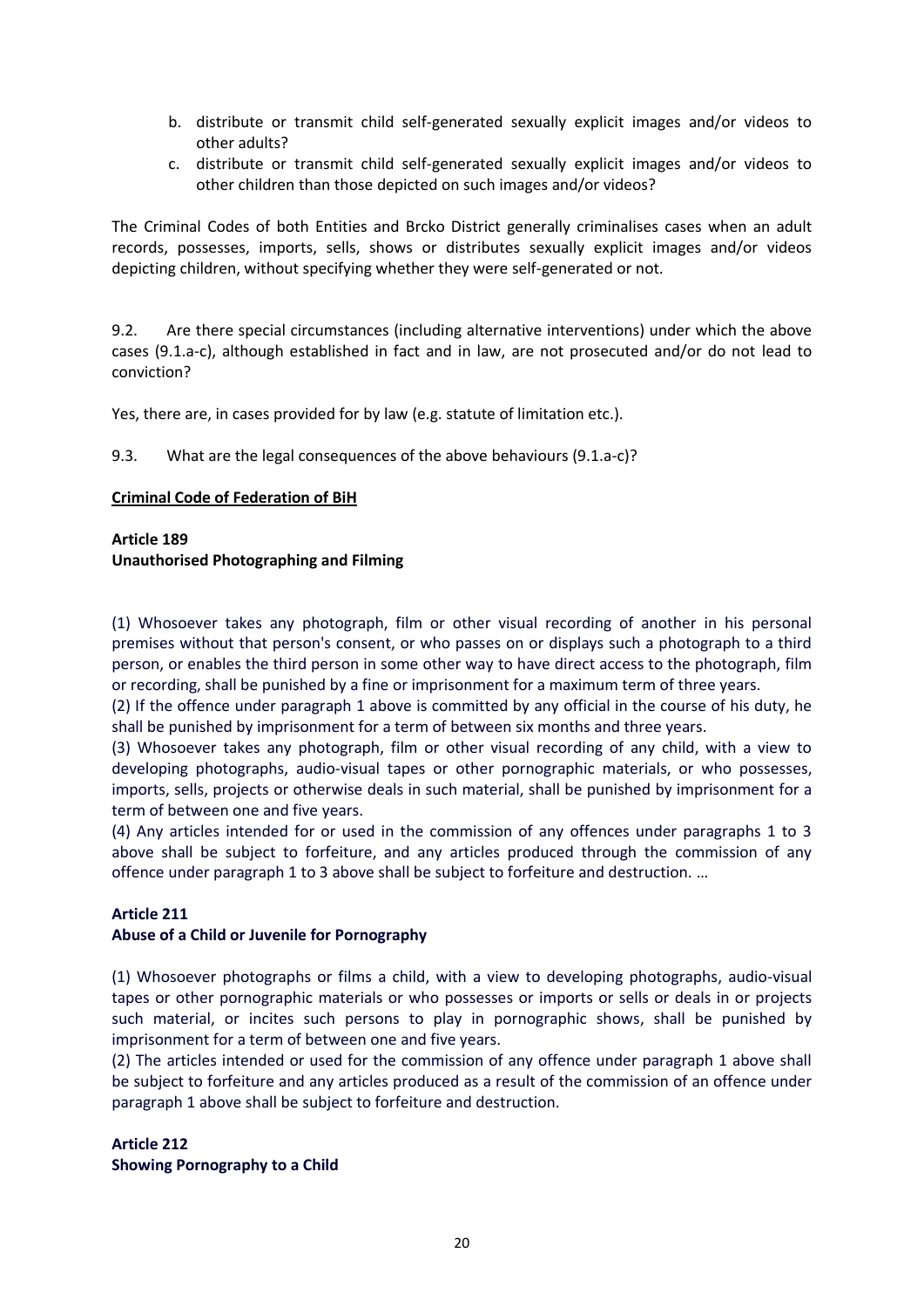- b. distribute or transmit child self-generated sexually explicit images and/or videos to other adults?
- c. distribute or transmit child self-generated sexually explicit images and/or videos to other children than those depicted on such images and/or videos?

The Criminal Codes of both Entities and Brcko District generally criminalises cases when an adult records, possesses, imports, sells, shows or distributes sexually explicit images and/or videos depicting children, without specifying whether they were self-generated or not.

9.2. Are there special circumstances (including alternative interventions) under which the above cases (9.1.a-c), although established in fact and in law, are not prosecuted and/or do not lead to conviction?

Yes, there are, in cases provided for by law (e.g. statute of limitation etc.).

9.3. What are the legal consequences of the above behaviours (9.1.a-c)?

#### **Criminal Code of Federation of BiH**

#### **Article 189 Unauthorised Photographing and Filming**

(1) Whosoever takes any photograph, film or other visual recording of another in his personal premises without that person's consent, or who passes on or displays such a photograph to a third person, or enables the third person in some other way to have direct access to the photograph, film or recording, shall be punished by a fine or imprisonment for a maximum term of three years.

(2) If the offence under paragraph 1 above is committed by any official in the course of his duty, he shall be punished by imprisonment for a term of between six months and three years.

(3) Whosoever takes any photograph, film or other visual recording of any child, with a view to developing photographs, audio-visual tapes or other pornographic materials, or who possesses, imports, sells, projects or otherwise deals in such material, shall be punished by imprisonment for a term of between one and five years.

(4) Any articles intended for or used in the commission of any offences under paragraphs 1 to 3 above shall be subject to forfeiture, and any articles produced through the commission of any offence under paragraph 1 to 3 above shall be subject to forfeiture and destruction. …

#### **Article 211**

#### **Abuse of a Child or Juvenile for Pornography**

(1) Whosoever photographs or films a child, with a view to developing photographs, audio-visual tapes or other pornographic materials or who possesses or imports or sells or deals in or projects such material, or incites such persons to play in pornographic shows, shall be punished by imprisonment for a term of between one and five years.

(2) The articles intended or used for the commission of any offence under paragraph 1 above shall be subject to forfeiture and any articles produced as a result of the commission of an offence under paragraph 1 above shall be subject to forfeiture and destruction.

#### **Article 212 Showing Pornography to a Child**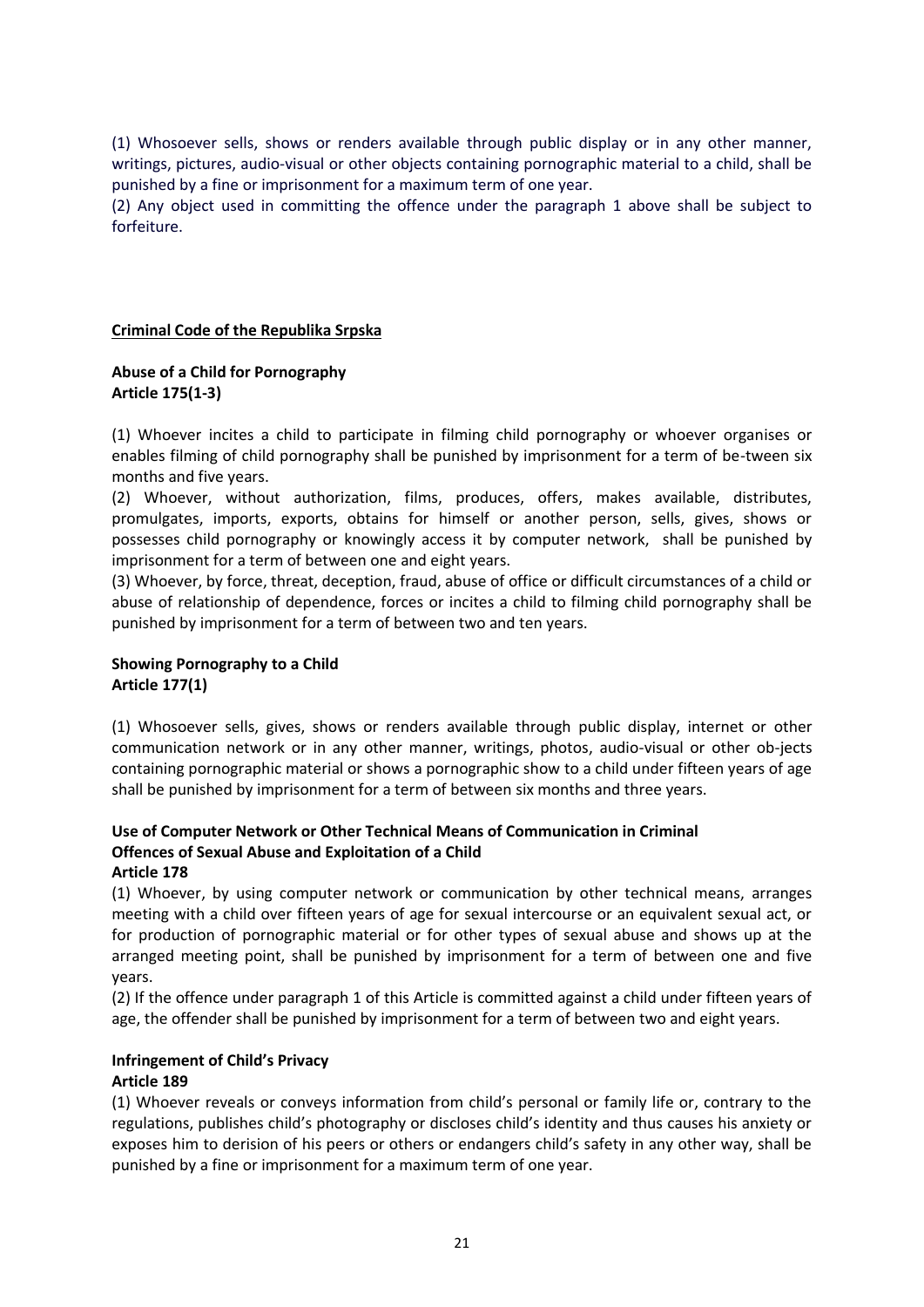(1) Whosoever sells, shows or renders available through public display or in any other manner, writings, pictures, audio-visual or other objects containing pornographic material to a child, shall be punished by a fine or imprisonment for a maximum term of one year.

(2) Any object used in committing the offence under the paragraph 1 above shall be subject to forfeiture.

#### **Criminal Code of the Republika Srpska**

#### **Abuse of a Child for Pornography Article 175(1-3)**

(1) Whoever incites a child to participate in filming child pornography or whoever organises or enables filming of child pornography shall be punished by imprisonment for a term of be-tween six months and five years.

(2) Whoever, without authorization, films, produces, offers, makes available, distributes, promulgates, imports, exports, obtains for himself or another person, sells, gives, shows or possesses child pornography or knowingly access it by computer network, shall be punished by imprisonment for a term of between one and eight years.

(3) Whoever, by force, threat, deception, fraud, abuse of office or difficult circumstances of a child or abuse of relationship of dependence, forces or incites a child to filming child pornography shall be punished by imprisonment for a term of between two and ten years.

#### **Showing Pornography to a Child Article 177(1)**

(1) Whosoever sells, gives, shows or renders available through public display, internet or other communication network or in any other manner, writings, photos, audio-visual or other ob-jects containing pornographic material or shows a pornographic show to a child under fifteen years of age shall be punished by imprisonment for a term of between six months and three years.

# **Use of Computer Network or Other Technical Means of Communication in Criminal Offences of Sexual Abuse and Exploitation of a Child**

#### **Article 178**

(1) Whoever, by using computer network or communication by other technical means, arranges meeting with a child over fifteen years of age for sexual intercourse or an equivalent sexual act, or for production of pornographic material or for other types of sexual abuse and shows up at the arranged meeting point, shall be punished by imprisonment for a term of between one and five years.

(2) If the offence under paragraph 1 of this Article is committed against a child under fifteen years of age, the offender shall be punished by imprisonment for a term of between two and eight years.

## **Infringement of Child's Privacy**

## **Article 189**

(1) Whoever reveals or conveys information from child's personal or family life or, contrary to the regulations, publishes child's photography or discloses child's identity and thus causes his anxiety or exposes him to derision of his peers or others or endangers child's safety in any other way, shall be punished by a fine or imprisonment for a maximum term of one year.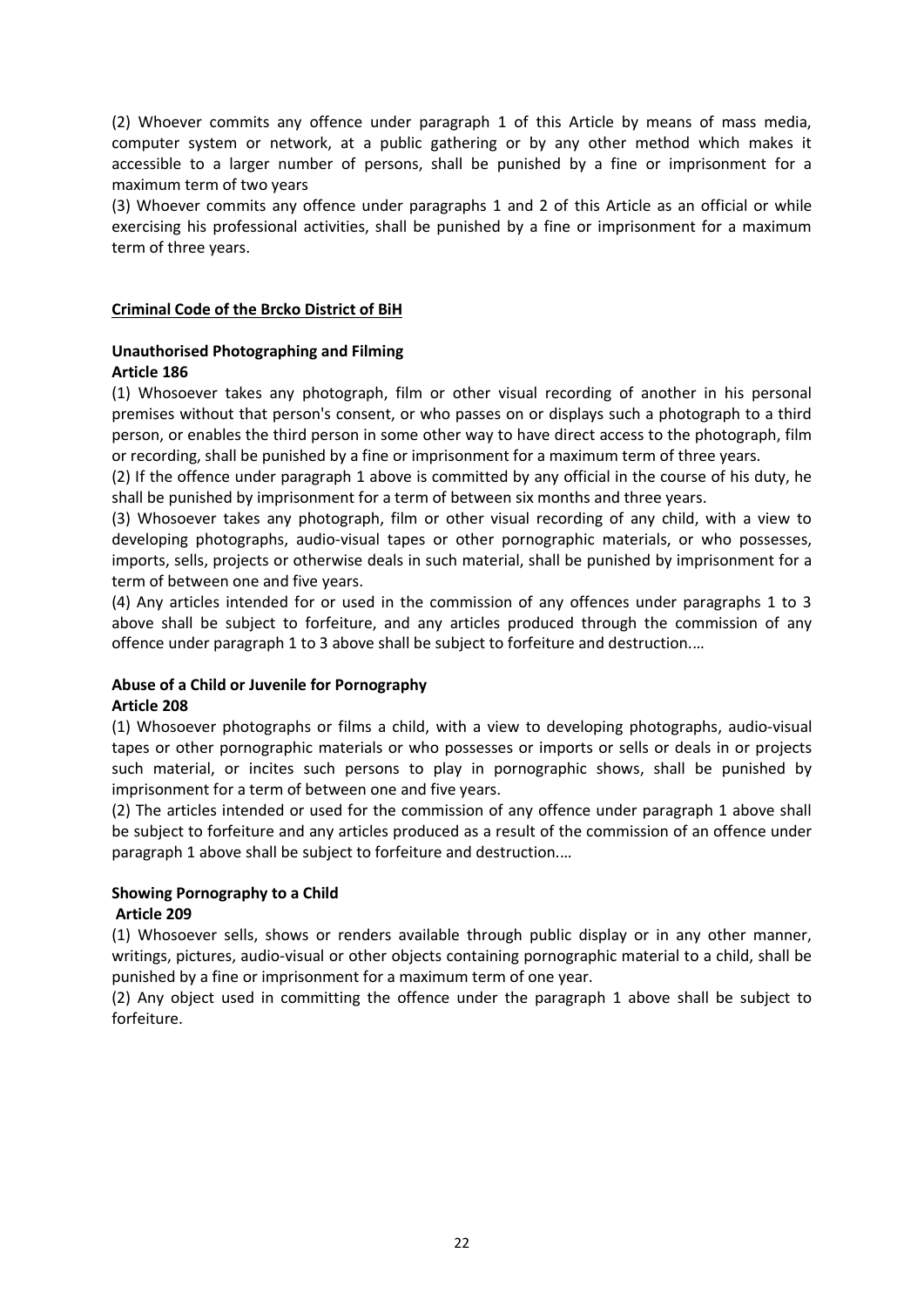(2) Whoever commits any offence under paragraph 1 of this Article by means of mass media, computer system or network, at a public gathering or by any other method which makes it accessible to a larger number of persons, shall be punished by a fine or imprisonment for a maximum term of two years

(3) Whoever commits any offence under paragraphs 1 and 2 of this Article as an official or while exercising his professional activities, shall be punished by a fine or imprisonment for a maximum term of three years.

#### **Criminal Code of the Brcko District of BiH**

#### **Unauthorised Photographing and Filming Article 186**

(1) Whosoever takes any photograph, film or other visual recording of another in his personal premises without that person's consent, or who passes on or displays such a photograph to a third person, or enables the third person in some other way to have direct access to the photograph, film or recording, shall be punished by a fine or imprisonment for a maximum term of three years.

(2) If the offence under paragraph 1 above is committed by any official in the course of his duty, he shall be punished by imprisonment for a term of between six months and three years.

(3) Whosoever takes any photograph, film or other visual recording of any child, with a view to developing photographs, audio-visual tapes or other pornographic materials, or who possesses, imports, sells, projects or otherwise deals in such material, shall be punished by imprisonment for a term of between one and five years.

(4) Any articles intended for or used in the commission of any offences under paragraphs 1 to 3 above shall be subject to forfeiture, and any articles produced through the commission of any offence under paragraph 1 to 3 above shall be subject to forfeiture and destruction.…

#### **Abuse of a Child or Juvenile for Pornography Article 208**

(1) Whosoever photographs or films a child, with a view to developing photographs, audio-visual tapes or other pornographic materials or who possesses or imports or sells or deals in or projects such material, or incites such persons to play in pornographic shows, shall be punished by imprisonment for a term of between one and five years.

(2) The articles intended or used for the commission of any offence under paragraph 1 above shall be subject to forfeiture and any articles produced as a result of the commission of an offence under paragraph 1 above shall be subject to forfeiture and destruction.…

#### **Showing Pornography to a Child Article 209**

(1) Whosoever sells, shows or renders available through public display or in any other manner, writings, pictures, audio-visual or other objects containing pornographic material to a child, shall be punished by a fine or imprisonment for a maximum term of one year.

(2) Any object used in committing the offence under the paragraph 1 above shall be subject to forfeiture.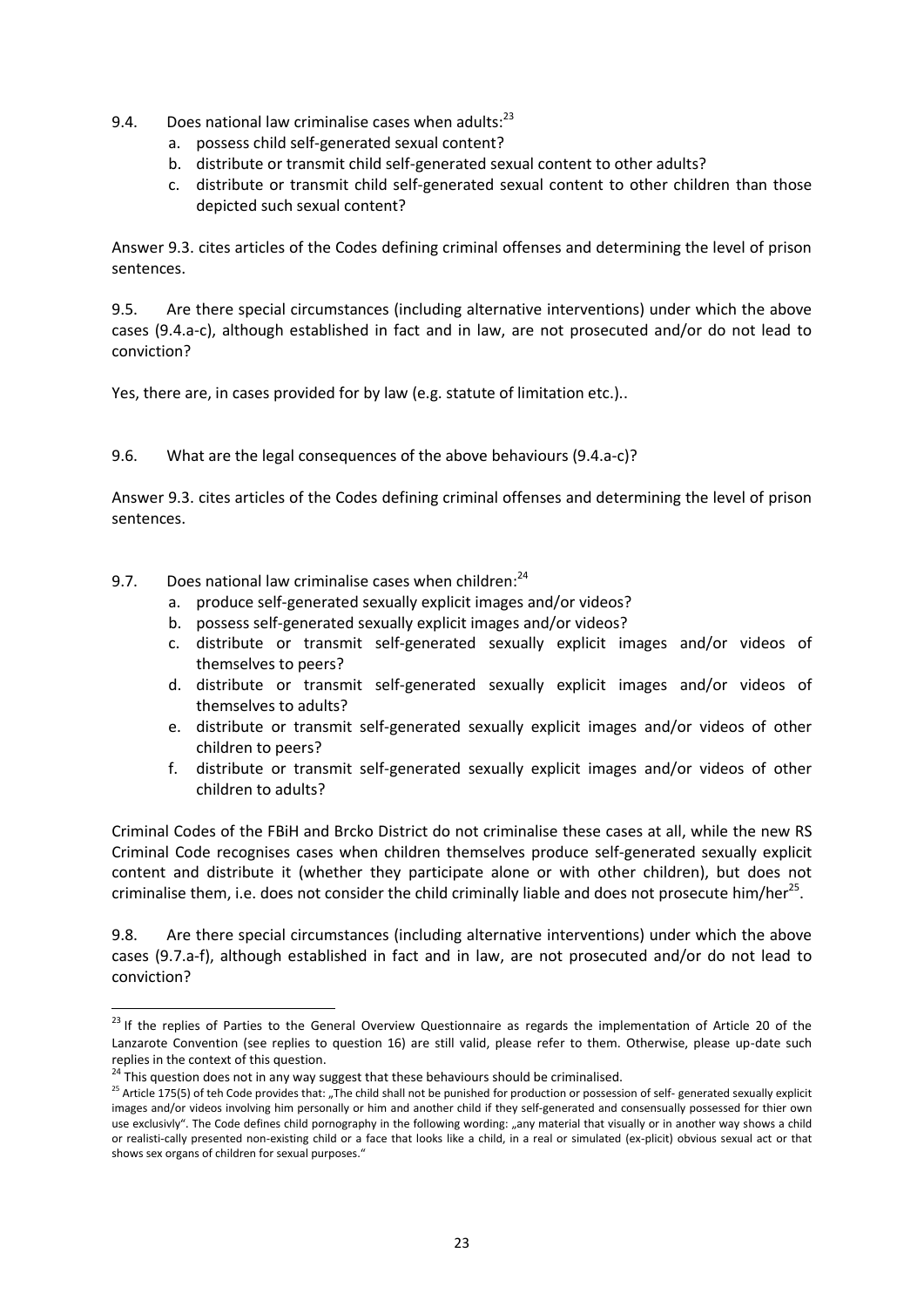- 9.4. Does national law criminalise cases when adults: $^{23}$ 
	- a. possess child self-generated sexual content?
	- b. distribute or transmit child self-generated sexual content to other adults?
	- c. distribute or transmit child self-generated sexual content to other children than those depicted such sexual content?

Answer 9.3. cites articles of the Codes defining criminal offenses and determining the level of prison sentences.

9.5. Are there special circumstances (including alternative interventions) under which the above cases (9.4.a-c), although established in fact and in law, are not prosecuted and/or do not lead to conviction?

Yes, there are, in cases provided for by law (e.g. statute of limitation etc.)..

9.6. What are the legal consequences of the above behaviours (9.4.a-c)?

Answer 9.3. cites articles of the Codes defining criminal offenses and determining the level of prison sentences.

- 9.7. Does national law criminalise cases when children: $24$ 
	- a. produce self-generated sexually explicit images and/or videos?
	- b. possess self-generated sexually explicit images and/or videos?
	- c. distribute or transmit self-generated sexually explicit images and/or videos of themselves to peers?
	- d. distribute or transmit self-generated sexually explicit images and/or videos of themselves to adults?
	- e. distribute or transmit self-generated sexually explicit images and/or videos of other children to peers?
	- f. distribute or transmit self-generated sexually explicit images and/or videos of other children to adults?

Criminal Codes of the FBiH and Brcko District do not criminalise these cases at all, while the new RS Criminal Code recognises cases when children themselves produce self-generated sexually explicit content and distribute it (whether they participate alone or with other children), but does not criminalise them, i.e. does not consider the child criminally liable and does not prosecute him/her<sup>25</sup>.

9.8. Are there special circumstances (including alternative interventions) under which the above cases (9.7.a-f), although established in fact and in law, are not prosecuted and/or do not lead to conviction?

1

 $^{23}$  If the replies of Parties to the General Overview Questionnaire as regards the implementation of Article 20 of the Lanzarote Convention (see replies to question 16) are still valid, please refer to them. Otherwise, please up-date such replies in the context of this question.

 $24$  This question does not in any way suggest that these behaviours should be criminalised.

<sup>&</sup>lt;sup>25</sup> Article 175(5) of teh Code provides that: "The child shall not be punished for production or possession of self- generated sexually explicit images and/or videos involving him personally or him and another child if they self-generated and consensually possessed for thier own use exclusivly". The Code defines child pornography in the following wording: "any material that visually or in another way shows a child or realisti-cally presented non-existing child or a face that looks like a child, in a real or simulated (ex-plicit) obvious sexual act or that shows sex organs of children for sexual purposes."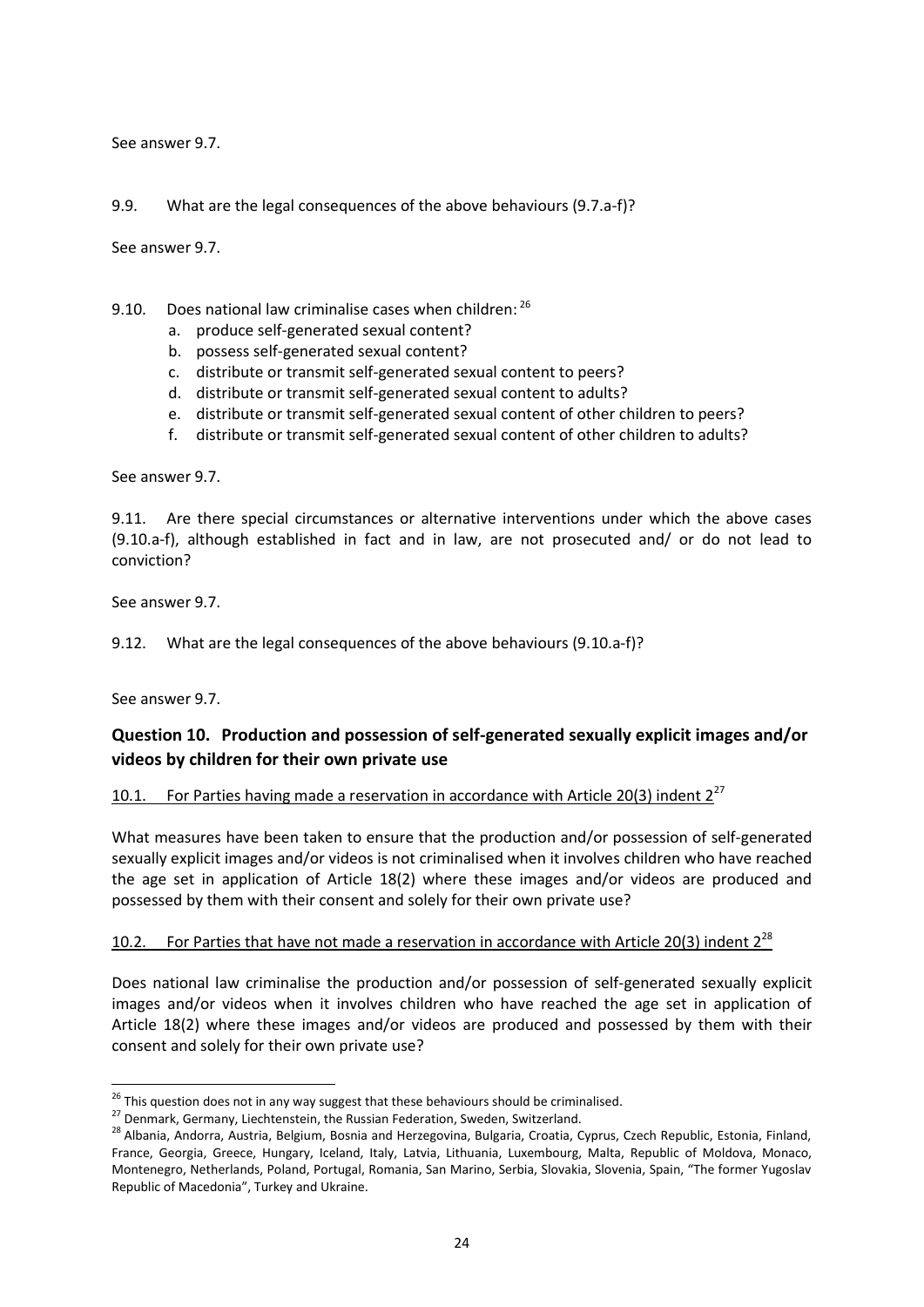See answer 9.7.

9.9. What are the legal consequences of the above behaviours (9.7.a-f)?

See answer 9.7.

- 9.10. Does national law criminalise cases when children: <sup>26</sup>
	- a. produce self-generated sexual content?
	- b. possess self-generated sexual content?
	- c. distribute or transmit self-generated sexual content to peers?
	- d. distribute or transmit self-generated sexual content to adults?
	- e. distribute or transmit self-generated sexual content of other children to peers?
	- f. distribute or transmit self-generated sexual content of other children to adults?

See answer 9.7.

9.11. Are there special circumstances or alternative interventions under which the above cases (9.10.a-f), although established in fact and in law, are not prosecuted and/ or do not lead to conviction?

See answer 9.7.

9.12. What are the legal consequences of the above behaviours (9.10.a-f)?

See answer 9.7.

**.** 

# **Question 10. Production and possession of self-generated sexually explicit images and/or videos by children for their own private use**

10.1. For Parties having made a reservation in accordance with Article 20(3) indent  $2^{27}$ 

What measures have been taken to ensure that the production and/or possession of self-generated sexually explicit images and/or videos is not criminalised when it involves children who have reached the age set in application of Article 18(2) where these images and/or videos are produced and possessed by them with their consent and solely for their own private use?

#### 10.2. For Parties that have not made a reservation in accordance with Article 20(3) indent  $2^{28}$

Does national law criminalise the production and/or possession of self-generated sexually explicit images and/or videos when it involves children who have reached the age set in application of Article 18(2) where these images and/or videos are produced and possessed by them with their consent and solely for their own private use?

<sup>&</sup>lt;sup>26</sup> This question does not in any way suggest that these behaviours should be criminalised.

<sup>&</sup>lt;sup>27</sup> Denmark, Germany, Liechtenstein, the Russian Federation, Sweden, Switzerland.

<sup>&</sup>lt;sup>28</sup> Albania, Andorra, Austria, Belgium, Bosnia and Herzegovina, Bulgaria, Croatia, Cyprus, Czech Republic, Estonia, Finland, France, Georgia, Greece, Hungary, Iceland, Italy, Latvia, Lithuania, Luxembourg, Malta, Republic of Moldova, Monaco, Montenegro, Netherlands, Poland, Portugal, Romania, San Marino, Serbia, Slovakia, Slovenia, Spain, "The former Yugoslav Republic of Macedonia", Turkey and Ukraine.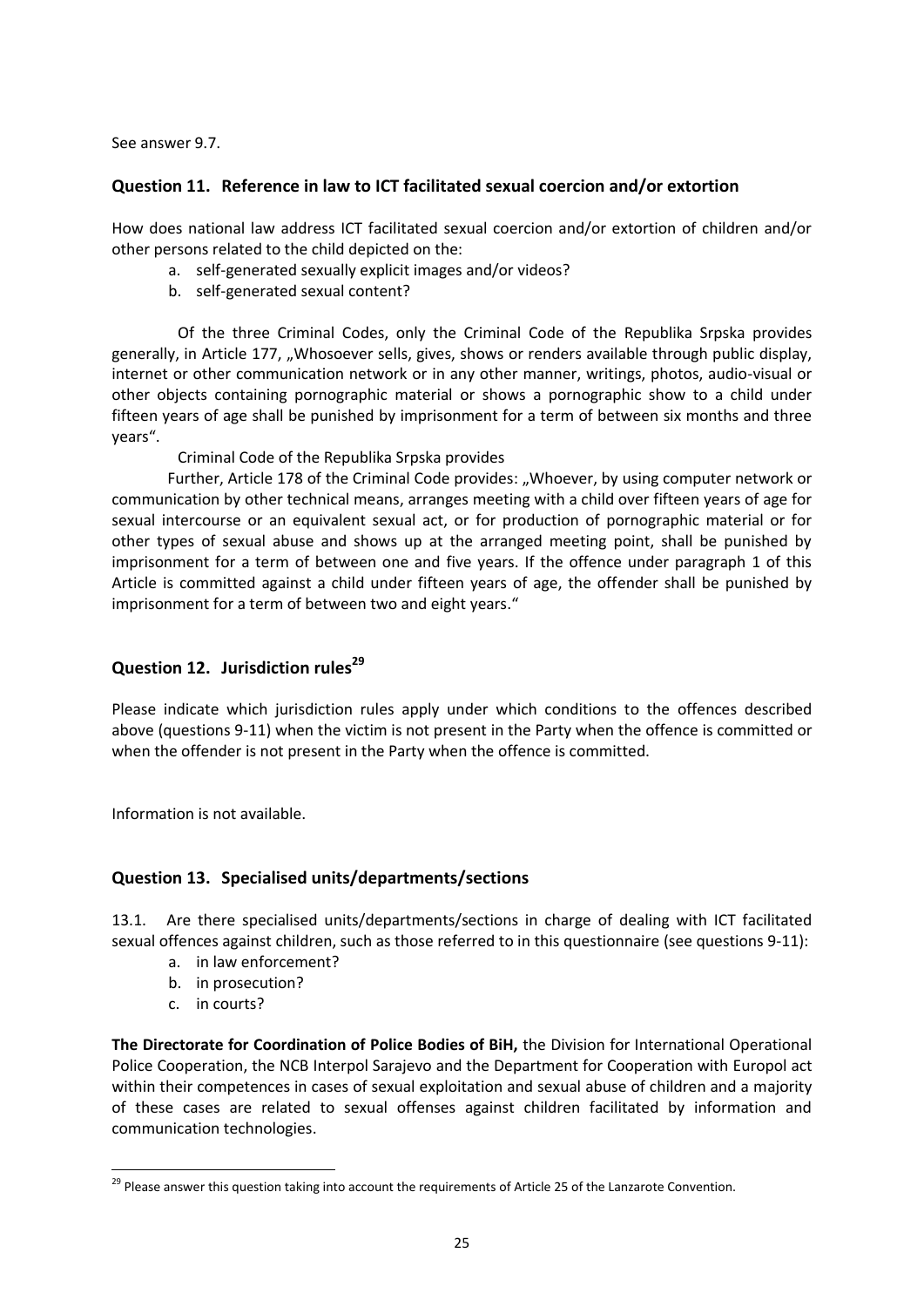See answer 9.7.

# **Question 11. Reference in law to ICT facilitated sexual coercion and/or extortion**

How does national law address ICT facilitated sexual coercion and/or extortion of children and/or other persons related to the child depicted on the:

- a. self-generated sexually explicit images and/or videos?
- b. self-generated sexual content?

Of the three Criminal Codes, only the Criminal Code of the Republika Srpska provides generally, in Article 177, "Whosoever sells, gives, shows or renders available through public display, internet or other communication network or in any other manner, writings, photos, audio-visual or other objects containing pornographic material or shows a pornographic show to a child under fifteen years of age shall be punished by imprisonment for a term of between six months and three years".

Criminal Code of the Republika Srpska provides

Further, Article 178 of the Criminal Code provides: "Whoever, by using computer network or communication by other technical means, arranges meeting with a child over fifteen years of age for sexual intercourse or an equivalent sexual act, or for production of pornographic material or for other types of sexual abuse and shows up at the arranged meeting point, shall be punished by imprisonment for a term of between one and five years. If the offence under paragraph 1 of this Article is committed against a child under fifteen years of age, the offender shall be punished by imprisonment for a term of between two and eight years."

# **Question 12. Jurisdiction rules<sup>29</sup>**

Please indicate which jurisdiction rules apply under which conditions to the offences described above (questions 9-11) when the victim is not present in the Party when the offence is committed or when the offender is not present in the Party when the offence is committed.

Information is not available.

## **Question 13. Specialised units/departments/sections**

13.1. Are there specialised units/departments/sections in charge of dealing with ICT facilitated sexual offences against children, such as those referred to in this questionnaire (see questions 9-11):

- a. in law enforcement?
- b. in prosecution?
- c. in courts?

1

**The Directorate for Coordination of Police Bodies of BiH,** the Division for International Operational Police Cooperation, the NCB Interpol Sarajevo and the Department for Cooperation with Europol act within their competences in cases of sexual exploitation and sexual abuse of children and a majority of these cases are related to sexual offenses against children facilitated by information and communication technologies.

<sup>&</sup>lt;sup>29</sup> Please answer this question taking into account the requirements of Article 25 of the Lanzarote Convention.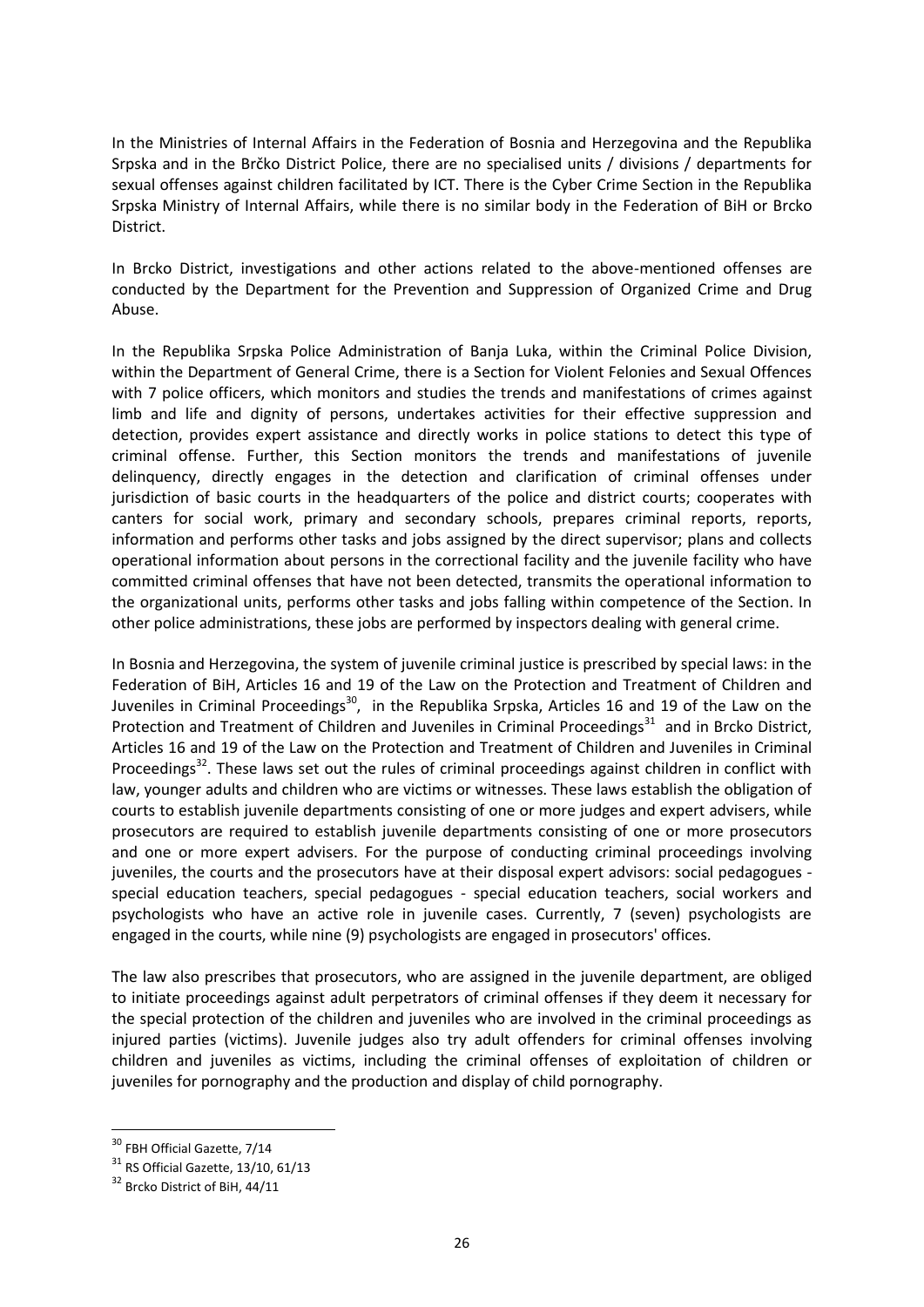In the Ministries of Internal Affairs in the Federation of Bosnia and Herzegovina and the Republika Srpska and in the Brčko District Police, there are no specialised units / divisions / departments for sexual offenses against children facilitated by ICT. There is the Cyber Crime Section in the Republika Srpska Ministry of Internal Affairs, while there is no similar body in the Federation of BiH or Brcko District.

In Brcko District, investigations and other actions related to the above-mentioned offenses are conducted by the Department for the Prevention and Suppression of Organized Crime and Drug Abuse.

In the Republika Srpska Police Administration of Banja Luka, within the Criminal Police Division, within the Department of General Crime, there is a Section for Violent Felonies and Sexual Offences with 7 police officers, which monitors and studies the trends and manifestations of crimes against limb and life and dignity of persons, undertakes activities for their effective suppression and detection, provides expert assistance and directly works in police stations to detect this type of criminal offense. Further, this Section monitors the trends and manifestations of juvenile delinquency, directly engages in the detection and clarification of criminal offenses under jurisdiction of basic courts in the headquarters of the police and district courts; cooperates with canters for social work, primary and secondary schools, prepares criminal reports, reports, information and performs other tasks and jobs assigned by the direct supervisor; plans and collects operational information about persons in the correctional facility and the juvenile facility who have committed criminal offenses that have not been detected, transmits the operational information to the organizational units, performs other tasks and jobs falling within competence of the Section. In other police administrations, these jobs are performed by inspectors dealing with general crime.

In Bosnia and Herzegovina, the system of juvenile criminal justice is prescribed by special laws: in the Federation of BiH, Articles 16 and 19 of the Law on the Protection and Treatment of Children and Juveniles in Criminal Proceedings<sup>30</sup>, in the Republika Srpska, Articles 16 and 19 of the Law on the Protection and Treatment of Children and Juveniles in Criminal Proceedings<sup>31</sup> and in Brcko District, Articles 16 and 19 of the Law on the Protection and Treatment of Children and Juveniles in Criminal Proceedings<sup>32</sup>. These laws set out the rules of criminal proceedings against children in conflict with law, younger adults and children who are victims or witnesses. These laws establish the obligation of courts to establish juvenile departments consisting of one or more judges and expert advisers, while prosecutors are required to establish juvenile departments consisting of one or more prosecutors and one or more expert advisers. For the purpose of conducting criminal proceedings involving juveniles, the courts and the prosecutors have at their disposal expert advisors: social pedagogues special education teachers, special pedagogues - special education teachers, social workers and psychologists who have an active role in juvenile cases. Currently, 7 (seven) psychologists are engaged in the courts, while nine (9) psychologists are engaged in prosecutors' offices.

The law also prescribes that prosecutors, who are assigned in the juvenile department, are obliged to initiate proceedings against adult perpetrators of criminal offenses if they deem it necessary for the special protection of the children and juveniles who are involved in the criminal proceedings as injured parties (victims). Juvenile judges also try adult offenders for criminal offenses involving children and juveniles as victims, including the criminal offenses of exploitation of children or juveniles for pornography and the production and display of child pornography.

**.** 

<sup>&</sup>lt;sup>30</sup> FBH Official Gazette, 7/14

 $31$  RS Official Gazette, 13/10, 61/13

<sup>&</sup>lt;sup>32</sup> Brcko District of BiH, 44/11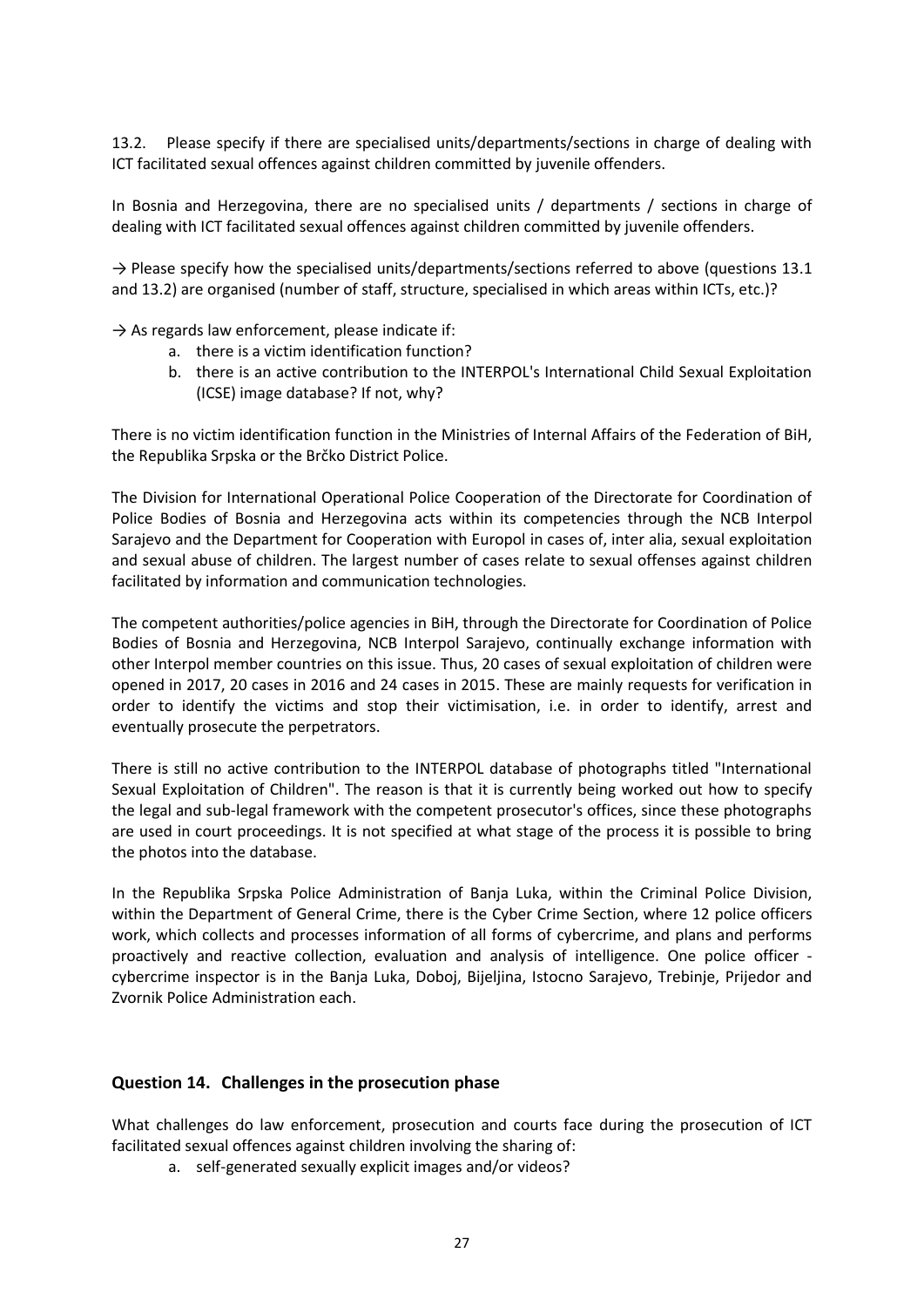Please specify if there are specialised units/departments/sections in charge of dealing with ICT facilitated sexual offences against children committed by juvenile offenders.

In Bosnia and Herzegovina, there are no specialised units / departments / sections in charge of dealing with ICT facilitated sexual offences against children committed by juvenile offenders.

 $\rightarrow$  Please specify how the specialised units/departments/sections referred to above (questions 13.1 and 13.2) are organised (number of staff, structure, specialised in which areas within ICTs, etc.)?

 $\rightarrow$  As regards law enforcement, please indicate if:

- a. there is a victim identification function?
- b. there is an active contribution to the INTERPOL's International Child Sexual Exploitation (ICSE) image database? If not, why?

There is no victim identification function in the Ministries of Internal Affairs of the Federation of BiH, the Republika Srpska or the Brčko District Police.

The Division for International Operational Police Cooperation of the Directorate for Coordination of Police Bodies of Bosnia and Herzegovina acts within its competencies through the NCB Interpol Sarajevo and the Department for Cooperation with Europol in cases of, inter alia, sexual exploitation and sexual abuse of children. The largest number of cases relate to sexual offenses against children facilitated by information and communication technologies.

The competent authorities/police agencies in BiH, through the Directorate for Coordination of Police Bodies of Bosnia and Herzegovina, NCB Interpol Sarajevo, continually exchange information with other Interpol member countries on this issue. Thus, 20 cases of sexual exploitation of children were opened in 2017, 20 cases in 2016 and 24 cases in 2015. These are mainly requests for verification in order to identify the victims and stop their victimisation, i.e. in order to identify, arrest and eventually prosecute the perpetrators.

There is still no active contribution to the INTERPOL database of photographs titled "International Sexual Exploitation of Children". The reason is that it is currently being worked out how to specify the legal and sub-legal framework with the competent prosecutor's offices, since these photographs are used in court proceedings. It is not specified at what stage of the process it is possible to bring the photos into the database.

In the Republika Srpska Police Administration of Banja Luka, within the Criminal Police Division, within the Department of General Crime, there is the Cyber Crime Section, where 12 police officers work, which collects and processes information of all forms of cybercrime, and plans and performs proactively and reactive collection, evaluation and analysis of intelligence. One police officer cybercrime inspector is in the Banja Luka, Doboj, Bijeljina, Istocno Sarajevo, Trebinje, Prijedor and Zvornik Police Administration each.

#### **Question 14. Challenges in the prosecution phase**

What challenges do law enforcement, prosecution and courts face during the prosecution of ICT facilitated sexual offences against children involving the sharing of:

a. self-generated sexually explicit images and/or videos?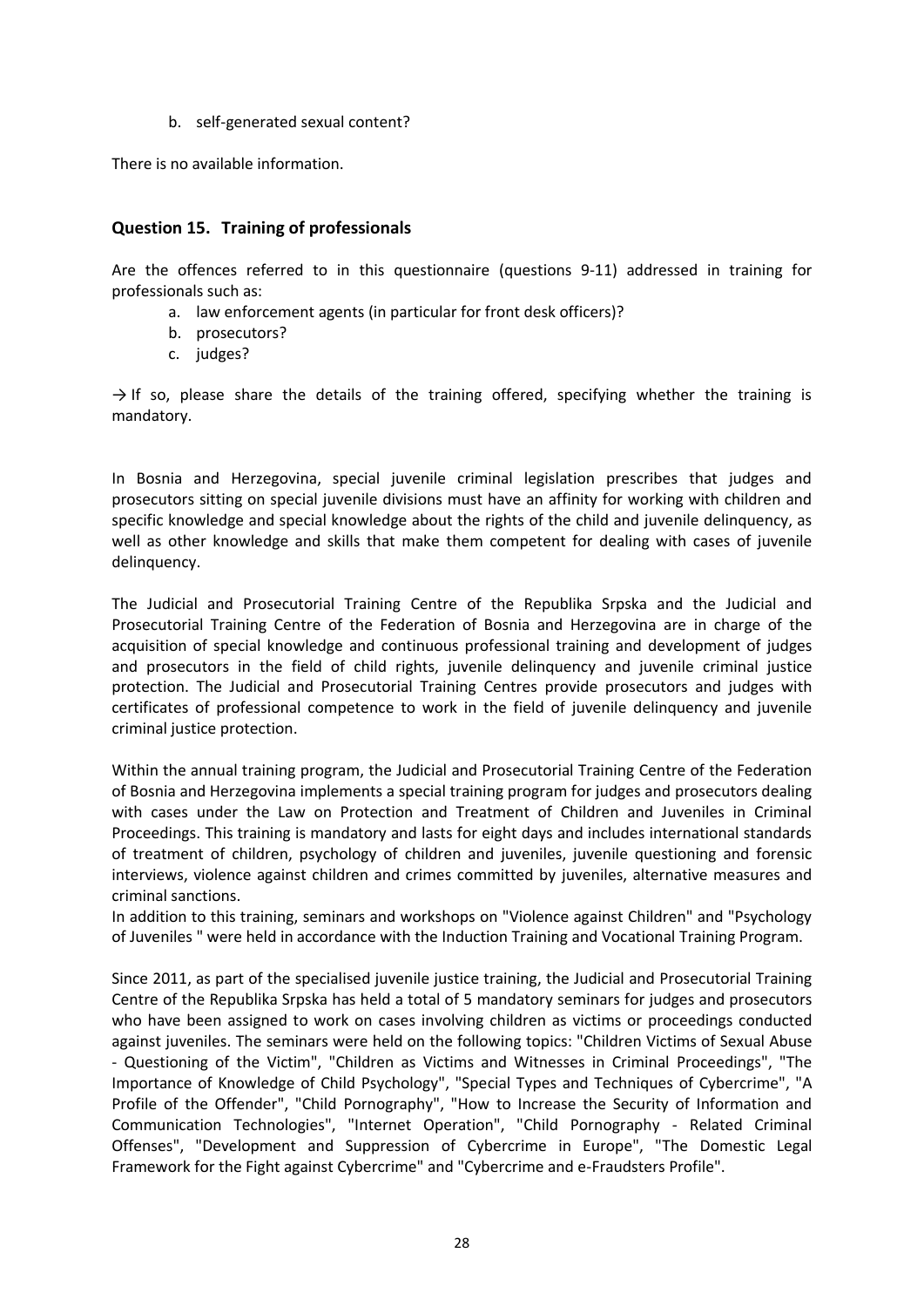b. self-generated sexual content?

There is no available information.

## **Question 15. Training of professionals**

Are the offences referred to in this questionnaire (questions 9-11) addressed in training for professionals such as:

- a. law enforcement agents (in particular for front desk officers)?
- b. prosecutors?
- c. judges?

 $\rightarrow$  If so, please share the details of the training offered, specifying whether the training is mandatory.

In Bosnia and Herzegovina, special juvenile criminal legislation prescribes that judges and prosecutors sitting on special juvenile divisions must have an affinity for working with children and specific knowledge and special knowledge about the rights of the child and juvenile delinquency, as well as other knowledge and skills that make them competent for dealing with cases of juvenile delinquency.

The Judicial and Prosecutorial Training Centre of the Republika Srpska and the Judicial and Prosecutorial Training Centre of the Federation of Bosnia and Herzegovina are in charge of the acquisition of special knowledge and continuous professional training and development of judges and prosecutors in the field of child rights, juvenile delinquency and juvenile criminal justice protection. The Judicial and Prosecutorial Training Centres provide prosecutors and judges with certificates of professional competence to work in the field of juvenile delinquency and juvenile criminal justice protection.

Within the annual training program, the Judicial and Prosecutorial Training Centre of the Federation of Bosnia and Herzegovina implements a special training program for judges and prosecutors dealing with cases under the Law on Protection and Treatment of Children and Juveniles in Criminal Proceedings. This training is mandatory and lasts for eight days and includes international standards of treatment of children, psychology of children and juveniles, juvenile questioning and forensic interviews, violence against children and crimes committed by juveniles, alternative measures and criminal sanctions.

In addition to this training, seminars and workshops on "Violence against Children" and "Psychology of Juveniles " were held in accordance with the Induction Training and Vocational Training Program.

Since 2011, as part of the specialised juvenile justice training, the Judicial and Prosecutorial Training Centre of the Republika Srpska has held a total of 5 mandatory seminars for judges and prosecutors who have been assigned to work on cases involving children as victims or proceedings conducted against juveniles. The seminars were held on the following topics: "Children Victims of Sexual Abuse - Questioning of the Victim", "Children as Victims and Witnesses in Criminal Proceedings", "The Importance of Knowledge of Child Psychology", "Special Types and Techniques of Cybercrime", "A Profile of the Offender", "Child Pornography", "How to Increase the Security of Information and Communication Technologies", "Internet Operation", "Child Pornography - Related Criminal Offenses", "Development and Suppression of Cybercrime in Europe", "The Domestic Legal Framework for the Fight against Cybercrime" and "Cybercrime and e-Fraudsters Profile".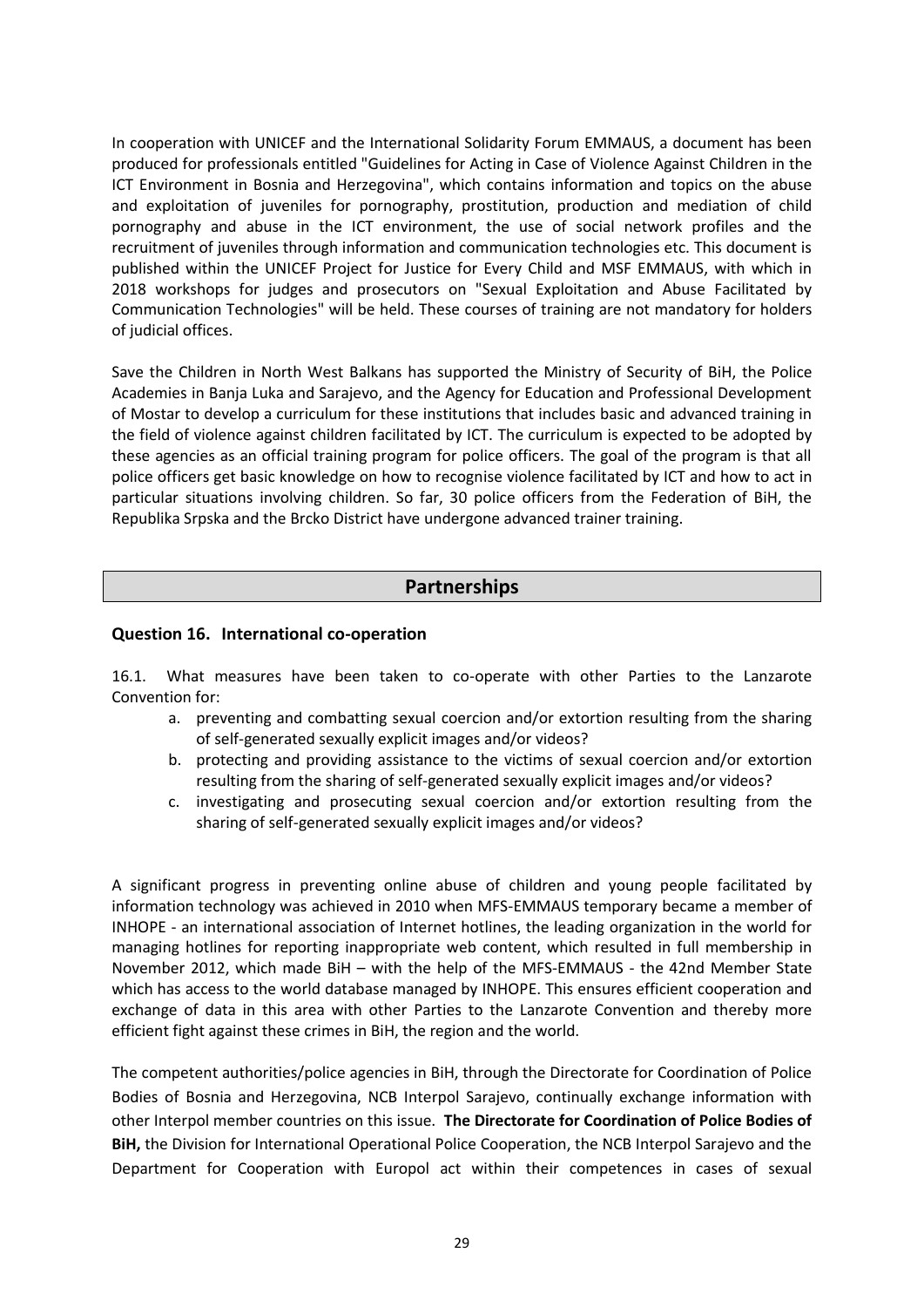In cooperation with UNICEF and the International Solidarity Forum EMMAUS, a document has been produced for professionals entitled "Guidelines for Acting in Case of Violence Against Children in the ICT Environment in Bosnia and Herzegovina", which contains information and topics on the abuse and exploitation of juveniles for pornography, prostitution, production and mediation of child pornography and abuse in the ICT environment, the use of social network profiles and the recruitment of juveniles through information and communication technologies etc. This document is published within the UNICEF Project for Justice for Every Child and MSF EMMAUS, with which in 2018 workshops for judges and prosecutors on "Sexual Exploitation and Abuse Facilitated by Communication Technologies" will be held. These courses of training are not mandatory for holders of judicial offices.

Save the Children in North West Balkans has supported the Ministry of Security of BiH, the Police Academies in Banja Luka and Sarajevo, and the Agency for Education and Professional Development of Mostar to develop a curriculum for these institutions that includes basic and advanced training in the field of violence against children facilitated by ICT. The curriculum is expected to be adopted by these agencies as an official training program for police officers. The goal of the program is that all police officers get basic knowledge on how to recognise violence facilitated by ICT and how to act in particular situations involving children. So far, 30 police officers from the Federation of BiH, the Republika Srpska and the Brcko District have undergone advanced trainer training.

# **Partnerships**

#### **Question 16. International co-operation**

16.1. What measures have been taken to co-operate with other Parties to the Lanzarote Convention for:

- a. preventing and combatting sexual coercion and/or extortion resulting from the sharing of self-generated sexually explicit images and/or videos?
- b. protecting and providing assistance to the victims of sexual coercion and/or extortion resulting from the sharing of self-generated sexually explicit images and/or videos?
- c. investigating and prosecuting sexual coercion and/or extortion resulting from the sharing of self-generated sexually explicit images and/or videos?

A significant progress in preventing online abuse of children and young people facilitated by information technology was achieved in 2010 when MFS-EMMAUS temporary became a member of INHOPE - an international association of Internet hotlines, the leading organization in the world for managing hotlines for reporting inappropriate web content, which resulted in full membership in November 2012, which made BiH – with the help of the MFS-EMMAUS - the 42nd Member State which has access to the world database managed by INHOPE. This ensures efficient cooperation and exchange of data in this area with other Parties to the Lanzarote Convention and thereby more efficient fight against these crimes in BiH, the region and the world.

The competent authorities/police agencies in BiH, through the Directorate for Coordination of Police Bodies of Bosnia and Herzegovina, NCB Interpol Sarajevo, continually exchange information with other Interpol member countries on this issue. **The Directorate for Coordination of Police Bodies of BiH,** the Division for International Operational Police Cooperation, the NCB Interpol Sarajevo and the Department for Cooperation with Europol act within their competences in cases of sexual